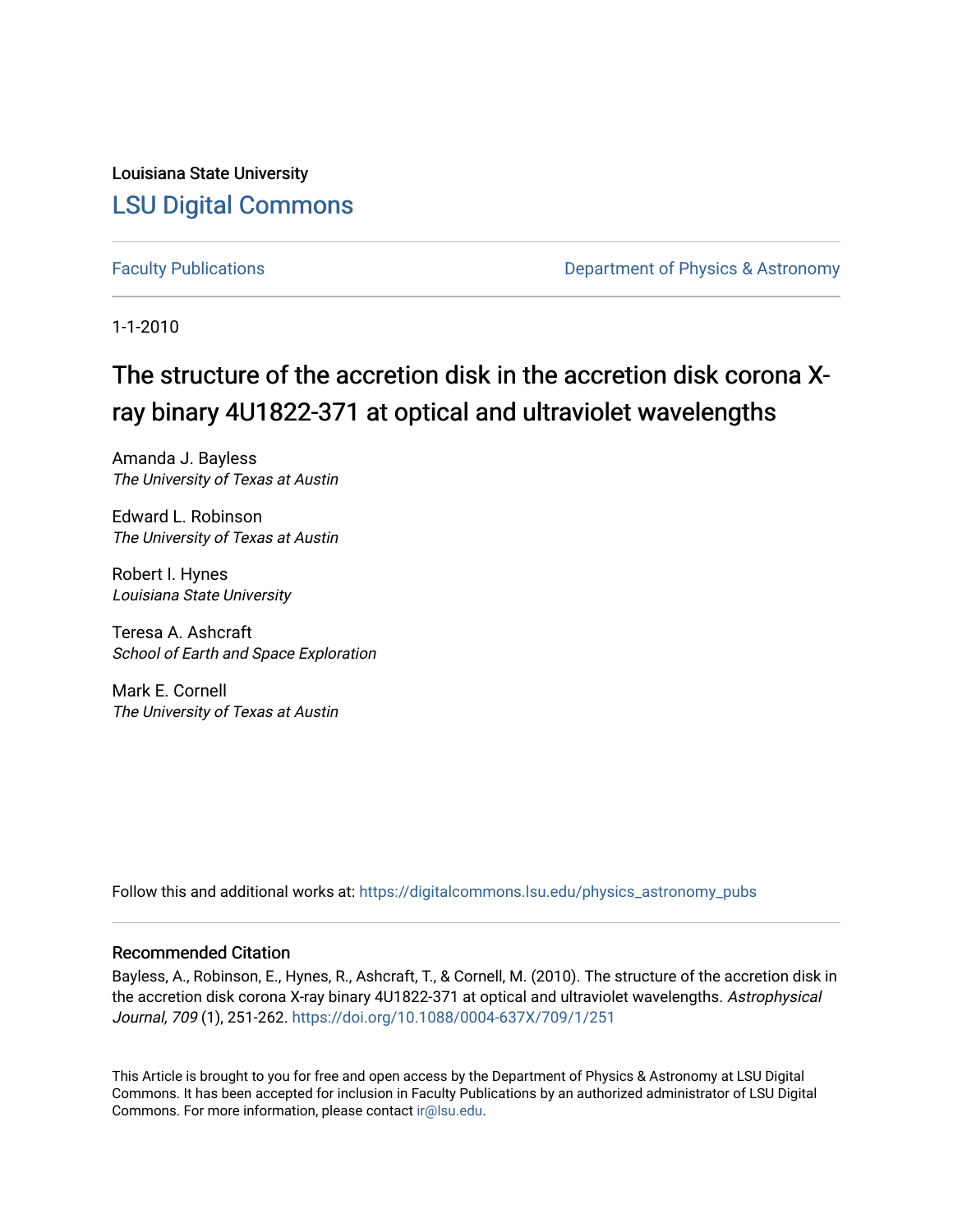Louisiana State University [LSU Digital Commons](https://digitalcommons.lsu.edu/)

[Faculty Publications](https://digitalcommons.lsu.edu/physics_astronomy_pubs) **Exercise 2 and Table 2 and Table 2 and Table 2 and Table 2 and Table 2 and Table 2 and Table 2 and Table 2 and Table 2 and Table 2 and Table 2 and Table 2 and Table 2 and Table 2 and Table 2 and Table** 

1-1-2010

# The structure of the accretion disk in the accretion disk corona Xray binary 4U1822-371 at optical and ultraviolet wavelengths

Amanda J. Bayless The University of Texas at Austin

Edward L. Robinson The University of Texas at Austin

Robert I. Hynes Louisiana State University

Teresa A. Ashcraft School of Earth and Space Exploration

Mark E. Cornell The University of Texas at Austin

Follow this and additional works at: [https://digitalcommons.lsu.edu/physics\\_astronomy\\_pubs](https://digitalcommons.lsu.edu/physics_astronomy_pubs?utm_source=digitalcommons.lsu.edu%2Fphysics_astronomy_pubs%2F2603&utm_medium=PDF&utm_campaign=PDFCoverPages) 

## Recommended Citation

Bayless, A., Robinson, E., Hynes, R., Ashcraft, T., & Cornell, M. (2010). The structure of the accretion disk in the accretion disk corona X-ray binary 4U1822-371 at optical and ultraviolet wavelengths. Astrophysical Journal, 709 (1), 251-262. <https://doi.org/10.1088/0004-637X/709/1/251>

This Article is brought to you for free and open access by the Department of Physics & Astronomy at LSU Digital Commons. It has been accepted for inclusion in Faculty Publications by an authorized administrator of LSU Digital Commons. For more information, please contact [ir@lsu.edu](mailto:ir@lsu.edu).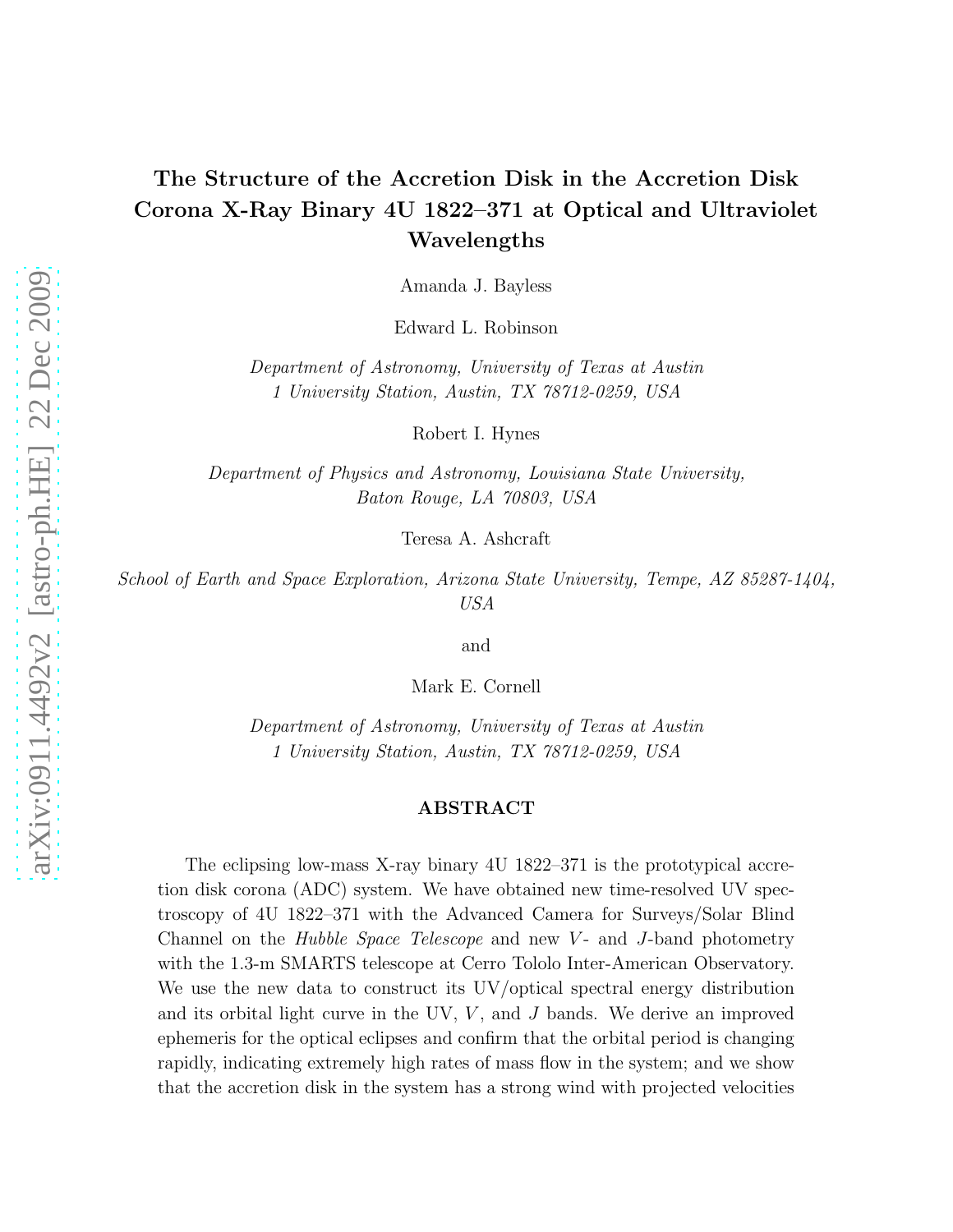## The Structure of the Accretion Disk in the Accretion Disk Corona X-Ray Binary 4U 1822–371 at Optical and Ultraviolet Wavelengths

Amanda J. Bayless

Edward L. Robinson

Department of Astronomy, University of Texas at Austin 1 University Station, Austin, TX 78712-0259, USA

Robert I. Hynes

Department of Physics and Astronomy, Louisiana State University, Baton Rouge, LA 70803, USA

Teresa A. Ashcraft

School of Earth and Space Exploration, Arizona State University, Tempe, AZ 85287-1404, USA

and

Mark E. Cornell

Department of Astronomy, University of Texas at Austin 1 University Station, Austin, TX 78712-0259, USA

#### ABSTRACT

The eclipsing low-mass X-ray binary 4U 1822–371 is the prototypical accretion disk corona (ADC) system. We have obtained new time-resolved UV spectroscopy of 4U 1822–371 with the Advanced Camera for Surveys/Solar Blind Channel on the *Hubble Space Telescope* and new  $V$ - and J-band photometry with the 1.3-m SMARTS telescope at Cerro Tololo Inter-American Observatory. We use the new data to construct its UV/optical spectral energy distribution and its orbital light curve in the UV,  $V$ , and  $J$  bands. We derive an improved ephemeris for the optical eclipses and confirm that the orbital period is changing rapidly, indicating extremely high rates of mass flow in the system; and we show that the accretion disk in the system has a strong wind with projected velocities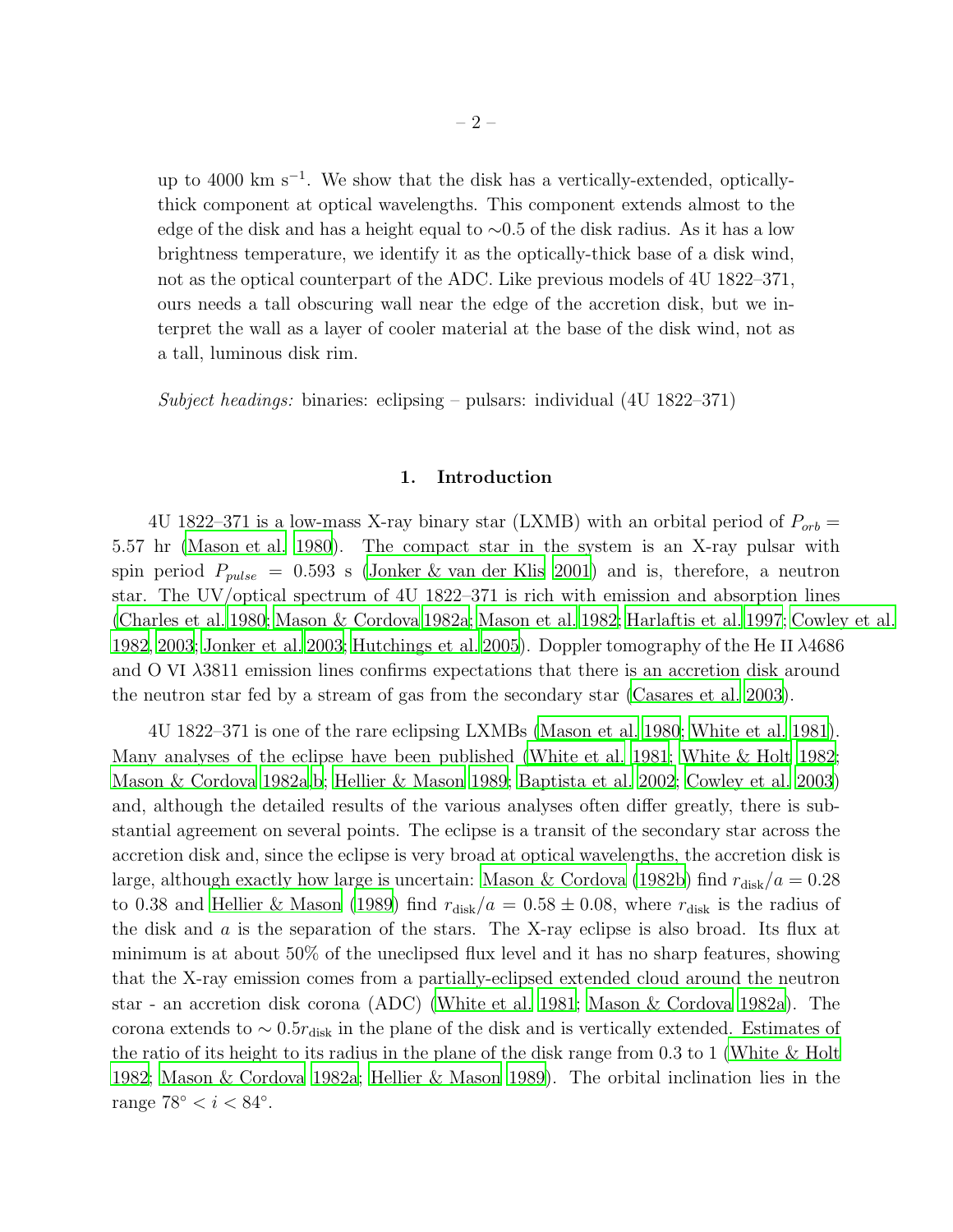up to 4000 km s<sup>−</sup><sup>1</sup> . We show that the disk has a vertically-extended, opticallythick component at optical wavelengths. This component extends almost to the edge of the disk and has a height equal to ∼0.5 of the disk radius. As it has a low brightness temperature, we identify it as the optically-thick base of a disk wind, not as the optical counterpart of the ADC. Like previous models of 4U 1822–371, ours needs a tall obscuring wall near the edge of the accretion disk, but we interpret the wall as a layer of cooler material at the base of the disk wind, not as a tall, luminous disk rim.

Subject headings: binaries: eclipsing – pulsars: individual  $(4U 1822 - 371)$ 

#### 1. Introduction

4U 1822–371 is a low-mass X-ray binary star (LXMB) with an orbital period of  $P_{orb}$ 5.57 hr [\(Mason et al. 1980](#page-22-0)). The compact star in the system is an X-ray pulsar with spin period  $P_{pulse} = 0.593$  s [\(Jonker & van der Klis 2001\)](#page-21-0) and is, therefore, a neutron star. The UV/optical spectrum of 4U 1822–371 is rich with emission and absorption lines [\(Charles et al. 1980;](#page-20-0) [Mason & Cordova 1982a;](#page-21-1) [Mason et al. 1982;](#page-22-1) [Harlaftis et al. 1997;](#page-21-2) [Cowley et al.](#page-20-1) [1982,](#page-20-1) [2003;](#page-20-2) [Jonker et al. 2003;](#page-21-3) [Hutchings et al. 2005\)](#page-21-4). Doppler tomography of the He II λ4686 and O VI λ3811 emission lines confirms expectations that there is an accretion disk around the neutron star fed by a stream of gas from the secondary star [\(Casares et al. 2003\)](#page-20-3).

4U 1822–371 is one of the rare eclipsing LXMBs [\(Mason et al. 1980](#page-22-0); [White et al. 1981](#page-22-2)). Many analyses of the eclipse have been published [\(White et al. 1981;](#page-22-2) [White & Holt 1982;](#page-22-3) [Mason & Cordova 1982a](#page-21-1)[,b;](#page-21-5) [Hellier & Mason 1989](#page-21-6); [Baptista et al. 2002;](#page-20-4) [Cowley et al. 2003\)](#page-20-2) and, although the detailed results of the various analyses often differ greatly, there is substantial agreement on several points. The eclipse is a transit of the secondary star across the accretion disk and, since the eclipse is very broad at optical wavelengths, the accretion disk is large, although exactly how large is uncertain: [Mason & Cordova \(1982b](#page-21-5)) find  $r_{\text{disk}}/a = 0.28$ to 0.38 and [Hellier & Mason \(1989](#page-21-6)) find  $r_{disk}/a = 0.58 \pm 0.08$ , where  $r_{disk}$  is the radius of the disk and a is the separation of the stars. The X-ray eclipse is also broad. Its flux at minimum is at about 50% of the uneclipsed flux level and it has no sharp features, showing that the X-ray emission comes from a partially-eclipsed extended cloud around the neutron star - an accretion disk corona (ADC) [\(White et al. 1981](#page-22-2); [Mason & Cordova 1982a\)](#page-21-1). The corona extends to  $\sim 0.5r_{\text{disk}}$  in the plane of the disk and is vertically extended. Estimates of the ratio of its height to its radius in the plane of the disk range from 0.3 to 1 [\(White & Holt](#page-22-3) [1982;](#page-22-3) [Mason & Cordova 1982a](#page-21-1); [Hellier & Mason 1989](#page-21-6)). The orbital inclination lies in the range  $78^{\circ} < i < 84^{\circ}$ .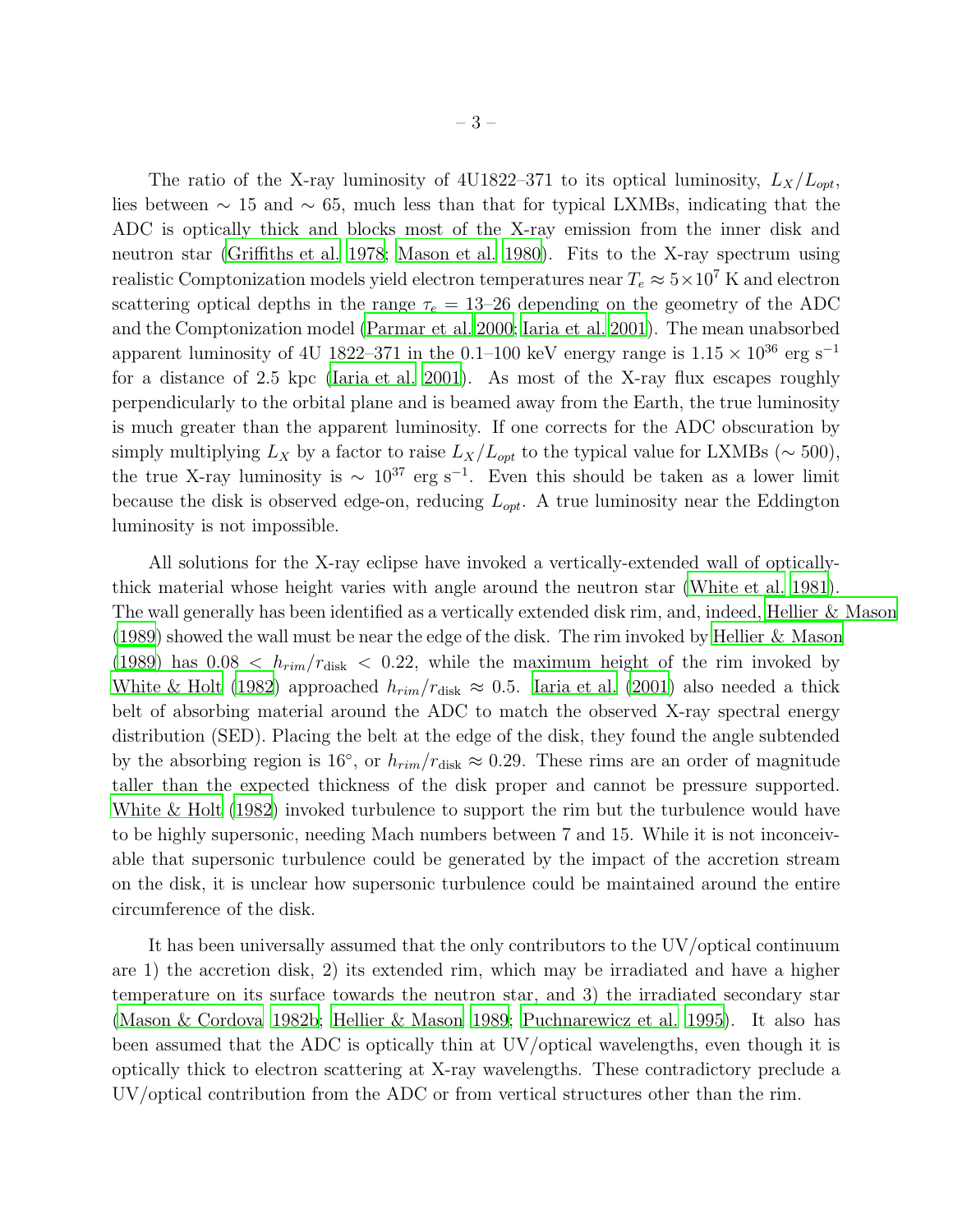The ratio of the X-ray luminosity of 4U1822–371 to its optical luminosity,  $L_X/L_{opt}$ , lies between  $\sim 15$  and  $\sim 65$ , much less than that for typical LXMBs, indicating that the ADC is optically thick and blocks most of the X-ray emission from the inner disk and neutron star [\(Griffiths et al. 1978](#page-21-7); [Mason et al. 1980\)](#page-22-0). Fits to the X-ray spectrum using realistic Comptonization models yield electron temperatures near  $T_e \approx 5 \times 10^7$  K and electron scattering optical depths in the range  $\tau_e = 13{\text -}26$  depending on the geometry of the ADC and the Comptonization model [\(Parmar et al. 2000;](#page-22-4) [Iaria et al. 2001\)](#page-21-8). The mean unabsorbed apparent luminosity of 4U 1822–371 in the 0.1–100 keV energy range is  $1.15 \times 10^{36}$  erg s<sup>-1</sup> for a distance of 2.5 kpc [\(Iaria et al. 2001\)](#page-21-8). As most of the X-ray flux escapes roughly perpendicularly to the orbital plane and is beamed away from the Earth, the true luminosity is much greater than the apparent luminosity. If one corrects for the ADC obscuration by simply multiplying  $L_X$  by a factor to raise  $L_X/L_{opt}$  to the typical value for LXMBs ( $\sim$  500), the true X-ray luminosity is  $\sim 10^{37}$  erg s<sup>-1</sup>. Even this should be taken as a lower limit because the disk is observed edge-on, reducing  $L_{opt}$ . A true luminosity near the Eddington luminosity is not impossible.

All solutions for the X-ray eclipse have invoked a vertically-extended wall of opticallythick material whose height varies with angle around the neutron star [\(White et al. 1981](#page-22-2)). The wall generally has been identified as a vertically extended disk rim, and, indeed, [Hellier & Mason](#page-21-6) [\(1989\)](#page-21-6) showed the wall must be near the edge of the disk. The rim invoked by [Hellier & Mason](#page-21-6) [\(1989\)](#page-21-6) has  $0.08 < h_{rim}/r_{disk} < 0.22$ , while the maximum height of the rim invoked by [White & Holt \(1982\)](#page-22-3) approached  $h_{rim}/r_{disk} \approx 0.5$ . [Iaria et al. \(2001\)](#page-21-8) also needed a thick belt of absorbing material around the ADC to match the observed X-ray spectral energy distribution (SED). Placing the belt at the edge of the disk, they found the angle subtended by the absorbing region is 16<sup>°</sup>, or  $h_{rim}/r_{disk} \approx 0.29$ . These rims are an order of magnitude taller than the expected thickness of the disk proper and cannot be pressure supported. [White & Holt \(1982\)](#page-22-3) invoked turbulence to support the rim but the turbulence would have to be highly supersonic, needing Mach numbers between 7 and 15. While it is not inconceivable that supersonic turbulence could be generated by the impact of the accretion stream on the disk, it is unclear how supersonic turbulence could be maintained around the entire circumference of the disk.

It has been universally assumed that the only contributors to the UV/optical continuum are 1) the accretion disk, 2) its extended rim, which may be irradiated and have a higher temperature on its surface towards the neutron star, and 3) the irradiated secondary star [\(Mason & Cordova 1982b;](#page-21-5) [Hellier & Mason 1989;](#page-21-6) [Puchnarewicz et al. 1995\)](#page-22-5). It also has been assumed that the ADC is optically thin at UV/optical wavelengths, even though it is optically thick to electron scattering at X-ray wavelengths. These contradictory preclude a UV/optical contribution from the ADC or from vertical structures other than the rim.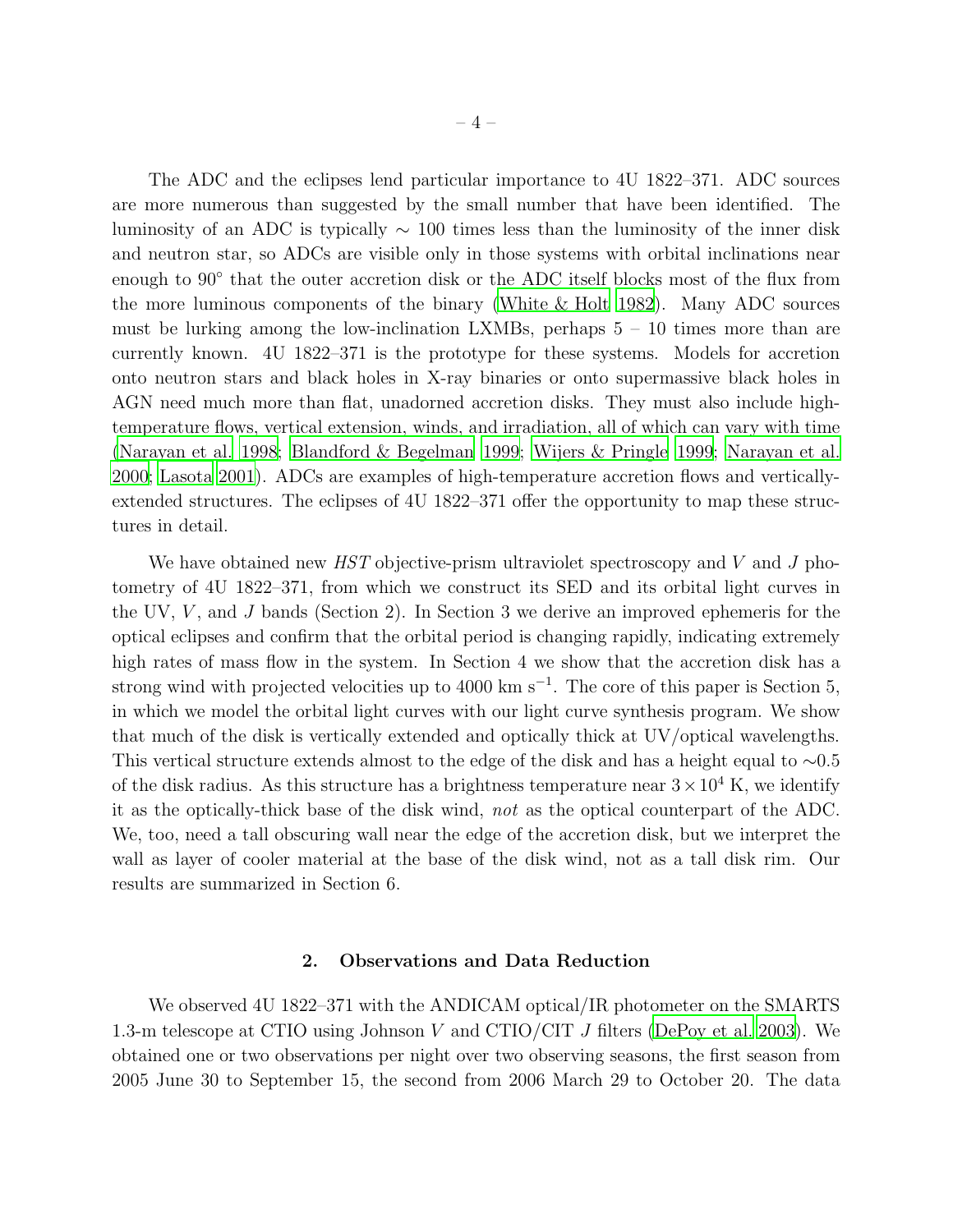The ADC and the eclipses lend particular importance to 4U 1822–371. ADC sources are more numerous than suggested by the small number that have been identified. The luminosity of an ADC is typically  $\sim 100$  times less than the luminosity of the inner disk and neutron star, so ADCs are visible only in those systems with orbital inclinations near enough to 90° that the outer accretion disk or the ADC itself blocks most of the flux from the more luminous components of the binary [\(White & Holt 1982](#page-22-3)). Many ADC sources must be lurking among the low-inclination LXMBs, perhaps  $5 - 10$  times more than are currently known. 4U 1822–371 is the prototype for these systems. Models for accretion onto neutron stars and black holes in X-ray binaries or onto supermassive black holes in AGN need much more than flat, unadorned accretion disks. They must also include hightemperature flows, vertical extension, winds, and irradiation, all of which can vary with time [\(Narayan et al. 1998](#page-22-6); [Blandford & Begelman 1999;](#page-20-5) [Wijers & Pringle 1999;](#page-22-7) [Narayan et al.](#page-22-8) [2000;](#page-22-8) [Lasota 2001\)](#page-21-9). ADCs are examples of high-temperature accretion flows and verticallyextended structures. The eclipses of 4U 1822–371 offer the opportunity to map these structures in detail.

We have obtained new HST objective-prism ultraviolet spectroscopy and V and J photometry of 4U 1822–371, from which we construct its SED and its orbital light curves in the UV,  $V$ , and J bands (Section 2). In Section 3 we derive an improved ephemeris for the optical eclipses and confirm that the orbital period is changing rapidly, indicating extremely high rates of mass flow in the system. In Section 4 we show that the accretion disk has a strong wind with projected velocities up to 4000 km s<sup>-1</sup>. The core of this paper is Section 5, in which we model the orbital light curves with our light curve synthesis program. We show that much of the disk is vertically extended and optically thick at UV/optical wavelengths. This vertical structure extends almost to the edge of the disk and has a height equal to ∼0.5 of the disk radius. As this structure has a brightness temperature near  $3 \times 10^4$  K, we identify it as the optically-thick base of the disk wind, not as the optical counterpart of the ADC. We, too, need a tall obscuring wall near the edge of the accretion disk, but we interpret the wall as layer of cooler material at the base of the disk wind, not as a tall disk rim. Our results are summarized in Section 6.

#### 2. Observations and Data Reduction

We observed 4U 1822–371 with the ANDICAM optical/IR photometer on the SMARTS 1.3-m telescope at CTIO using Johnson V and CTIO/CIT J filters [\(DePoy et al. 2003\)](#page-20-6). We obtained one or two observations per night over two observing seasons, the first season from 2005 June 30 to September 15, the second from 2006 March 29 to October 20. The data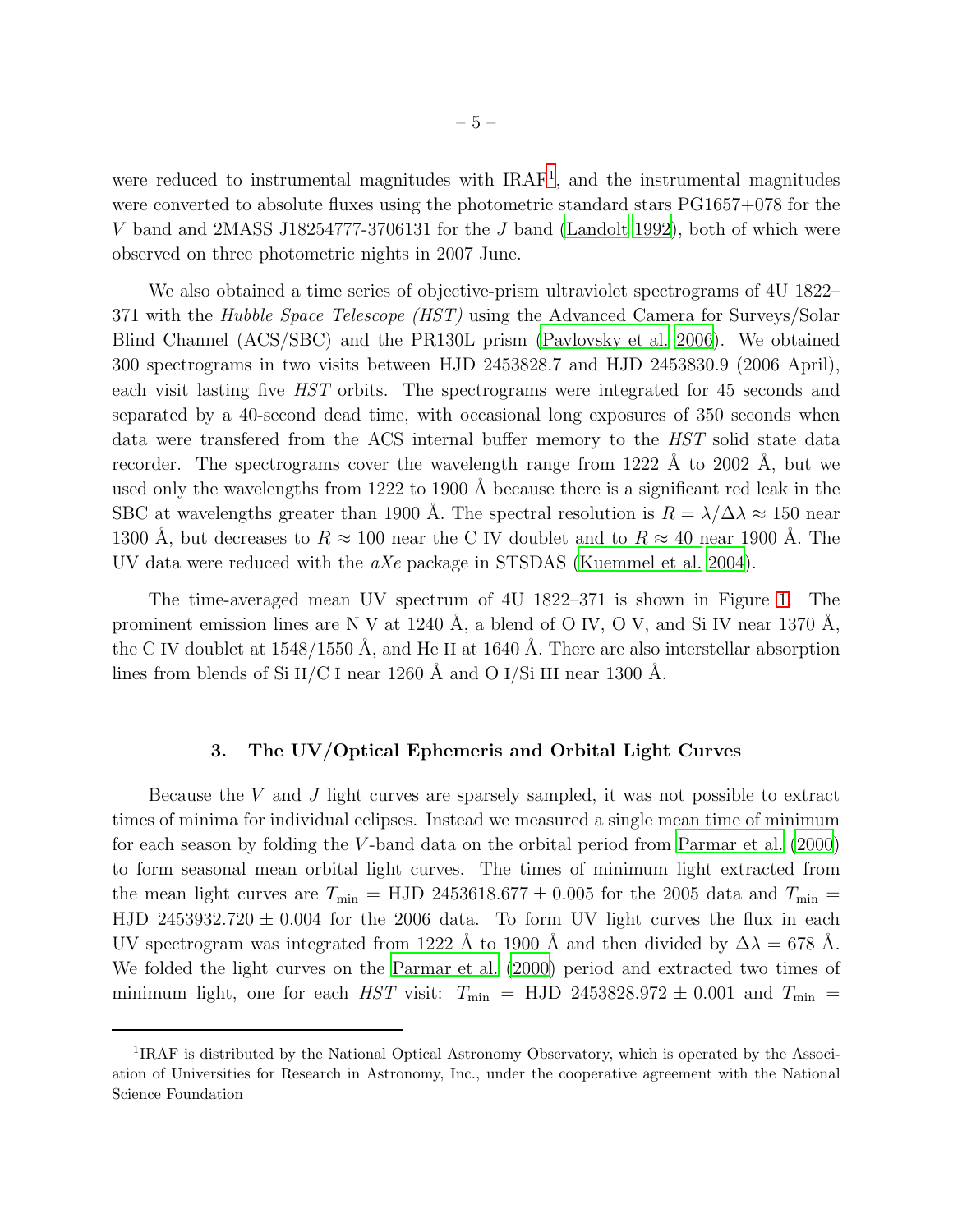were reduced to instrumental magnitudes with IRAF<sup>[1](#page-5-0)</sup>, and the instrumental magnitudes were converted to absolute fluxes using the photometric standard stars PG1657+078 for the V band and 2MASS J18254777-3706131 for the J band [\(Landolt 1992](#page-21-10)), both of which were observed on three photometric nights in 2007 June.

We also obtained a time series of objective-prism ultraviolet spectrograms of 4U 1822– 371 with the Hubble Space Telescope *(HST)* using the Advanced Camera for Surveys/Solar Blind Channel (ACS/SBC) and the PR130L prism [\(Pavlovsky et al. 2006](#page-22-9)). We obtained 300 spectrograms in two visits between HJD 2453828.7 and HJD 2453830.9 (2006 April), each visit lasting five HST orbits. The spectrograms were integrated for 45 seconds and separated by a 40-second dead time, with occasional long exposures of 350 seconds when data were transfered from the ACS internal buffer memory to the HST solid state data recorder. The spectrograms cover the wavelength range from  $1222 \text{ Å}$  to  $2002 \text{ Å}$ , but we used only the wavelengths from 1222 to 1900  $\AA$  because there is a significant red leak in the SBC at wavelengths greater than 1900 Å. The spectral resolution is  $R = \lambda/\Delta\lambda \approx 150$  near 1300 Å, but decreases to  $R \approx 100$  near the C IV doublet and to  $R \approx 40$  near 1900 Å. The UV data were reduced with the aXe package in STSDAS [\(Kuemmel et al. 2004\)](#page-21-11).

The time-averaged mean UV spectrum of 4U 1822–371 is shown in Figure [1.](#page-23-0) The prominent emission lines are N V at 1240 Å, a blend of O IV, O V, and Si IV near 1370 Å, the C IV doublet at  $1548/1550$  Å, and He II at 1640 Å. There are also interstellar absorption lines from blends of Si II/C I near 1260 Å and O I/Si III near 1300 Å.

#### 3. The UV/Optical Ephemeris and Orbital Light Curves

Because the V and J light curves are sparsely sampled, it was not possible to extract times of minima for individual eclipses. Instead we measured a single mean time of minimum for each season by folding the  $V$ -band data on the orbital period from Parmar et al.  $(2000)$ to form seasonal mean orbital light curves. The times of minimum light extracted from the mean light curves are  $T_{\text{min}} =$  HJD 2453618.677  $\pm$  0.005 for the 2005 data and  $T_{\text{min}} =$ HJD 2453932.720  $\pm$  0.004 for the 2006 data. To form UV light curves the flux in each UV spectrogram was integrated from 1222 Å to 1900 Å and then divided by  $\Delta\lambda = 678$  Å. We folded the light curves on the [Parmar et al. \(2000\)](#page-22-4) period and extracted two times of minimum light, one for each HST visit:  $T_{\text{min}}$  = HJD 2453828.972  $\pm$  0.001 and  $T_{\text{min}}$  =

<span id="page-5-0"></span><sup>&</sup>lt;sup>1</sup>IRAF is distributed by the National Optical Astronomy Observatory, which is operated by the Association of Universities for Research in Astronomy, Inc., under the cooperative agreement with the National Science Foundation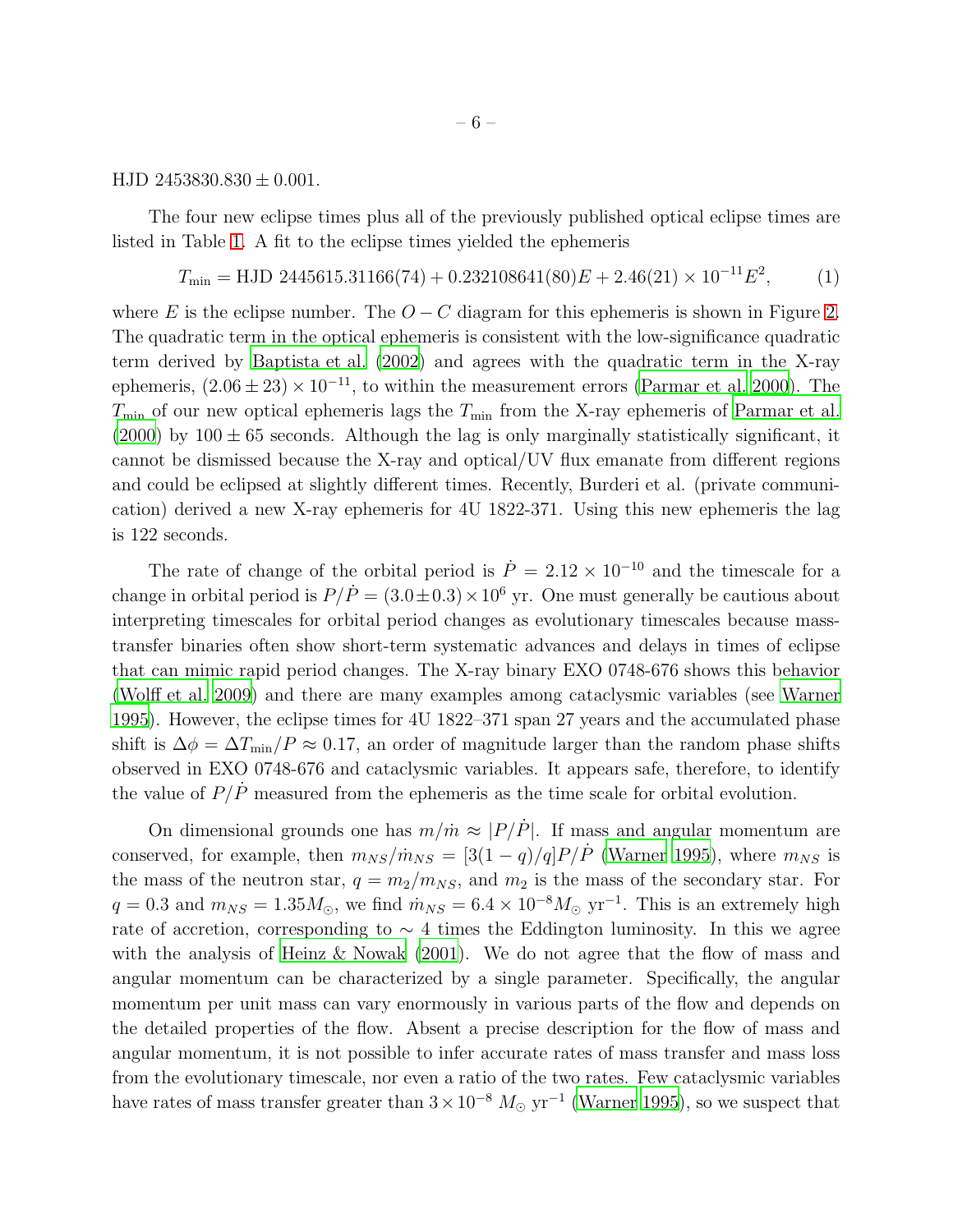#### HJD  $2453830.830 \pm 0.001$ .

The four new eclipse times plus all of the previously published optical eclipse times are listed in Table [1.](#page-35-0) A fit to the eclipse times yielded the ephemeris

<span id="page-6-0"></span>
$$
T_{\min} = \text{HJD } 2445615.31166(74) + 0.232108641(80)E + 2.46(21) \times 10^{-11}E^2,\tag{1}
$$

where E is the eclipse number. The  $O - C$  diagram for this ephemeris is shown in Figure [2.](#page-24-0) The quadratic term in the optical ephemeris is consistent with the low-significance quadratic term derived by [Baptista et al. \(2002](#page-20-4)) and agrees with the quadratic term in the X-ray ephemeris,  $(2.06 \pm 23) \times 10^{-11}$ , to within the measurement errors [\(Parmar et al. 2000\)](#page-22-4). The  $T_{\text{min}}$  of our new optical ephemeris lags the  $T_{\text{min}}$  from the X-ray ephemeris of [Parmar et al.](#page-22-4) [\(2000\)](#page-22-4) by  $100 \pm 65$  seconds. Although the lag is only marginally statistically significant, it cannot be dismissed because the X-ray and optical/UV flux emanate from different regions and could be eclipsed at slightly different times. Recently, Burderi et al. (private communication) derived a new X-ray ephemeris for 4U 1822-371. Using this new ephemeris the lag is 122 seconds.

The rate of change of the orbital period is  $\dot{P} = 2.12 \times 10^{-10}$  and the timescale for a change in orbital period is  $P/\dot{P} = (3.0 \pm 0.3) \times 10^6$  yr. One must generally be cautious about interpreting timescales for orbital period changes as evolutionary timescales because masstransfer binaries often show short-term systematic advances and delays in times of eclipse that can mimic rapid period changes. The X-ray binary EXO 0748-676 shows this behavior [\(Wolff et al. 2009](#page-22-10)) and there are many examples among cataclysmic variables (see [Warner](#page-22-11) [1995\)](#page-22-11). However, the eclipse times for 4U 1822–371 span 27 years and the accumulated phase shift is  $\Delta \phi = \Delta T_{\text{min}}/P \approx 0.17$ , an order of magnitude larger than the random phase shifts observed in EXO 0748-676 and cataclysmic variables. It appears safe, therefore, to identify the value of  $P/\dot{P}$  measured from the ephemeris as the time scale for orbital evolution.

On dimensional grounds one has  $m/m \approx |P/\dot{P}|$ . If mass and angular momentum are conserved, for example, then  $m_{NS}/m_{NS} = [3(1 - q)/q]P/\dot{P}$  [\(Warner 1995](#page-22-11)), where  $m_{NS}$  is the mass of the neutron star,  $q = m_2/m_{NS}$ , and  $m_2$  is the mass of the secondary star. For  $q = 0.3$  and  $m_{NS} = 1.35 M_{\odot}$ , we find  $\dot{m}_{NS} = 6.4 \times 10^{-8} M_{\odot}$  yr<sup>-1</sup>. This is an extremely high rate of accretion, corresponding to  $\sim$  4 times the Eddington luminosity. In this we agree with the analysis of Heinz  $\&$  Nowak (2001). We do not agree that the flow of mass and angular momentum can be characterized by a single parameter. Specifically, the angular momentum per unit mass can vary enormously in various parts of the flow and depends on the detailed properties of the flow. Absent a precise description for the flow of mass and angular momentum, it is not possible to infer accurate rates of mass transfer and mass loss from the evolutionary timescale, nor even a ratio of the two rates. Few cataclysmic variables have rates of mass transfer greater than  $3 \times 10^{-8}$   $M_{\odot}$  yr<sup>-1</sup> [\(Warner 1995](#page-22-11)), so we suspect that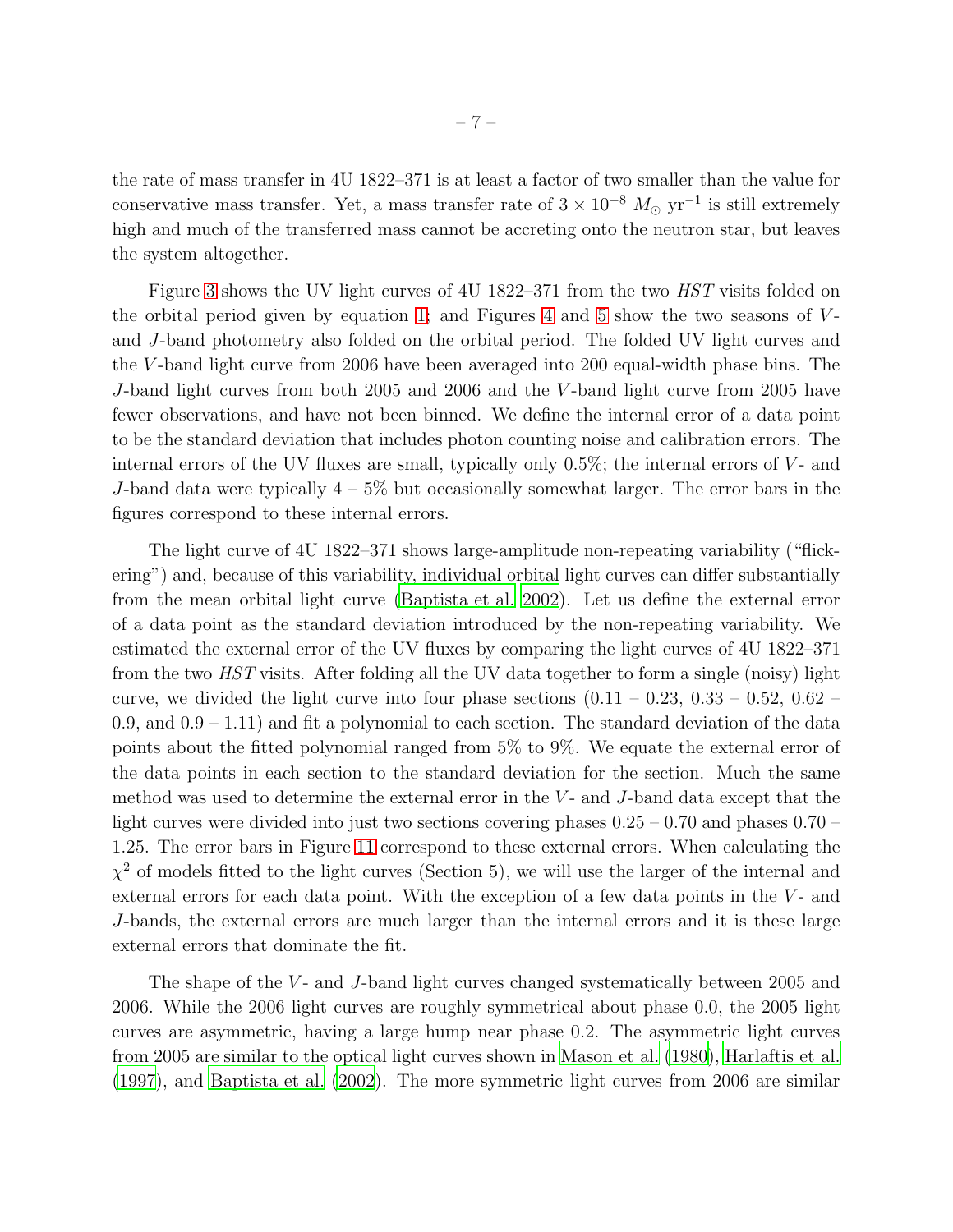the rate of mass transfer in 4U 1822–371 is at least a factor of two smaller than the value for conservative mass transfer. Yet, a mass transfer rate of  $3 \times 10^{-8}$   $M_{\odot}$  yr<sup>-1</sup> is still extremely high and much of the transferred mass cannot be accreting onto the neutron star, but leaves the system altogether.

Figure [3](#page-25-0) shows the UV light curves of 4U 1822–371 from the two *HST* visits folded on the orbital period given by equation [1;](#page-6-0) and Figures [4](#page-26-0) and [5](#page-27-0) show the two seasons of  $V$ and J-band photometry also folded on the orbital period. The folded UV light curves and the V -band light curve from 2006 have been averaged into 200 equal-width phase bins. The J-band light curves from both 2005 and 2006 and the V -band light curve from 2005 have fewer observations, and have not been binned. We define the internal error of a data point to be the standard deviation that includes photon counting noise and calibration errors. The internal errors of the UV fluxes are small, typically only  $0.5\%$ ; the internal errors of V- and J-band data were typically  $4-5\%$  but occasionally somewhat larger. The error bars in the figures correspond to these internal errors.

The light curve of 4U 1822–371 shows large-amplitude non-repeating variability ("flickering") and, because of this variability, individual orbital light curves can differ substantially from the mean orbital light curve [\(Baptista et al. 2002](#page-20-4)). Let us define the external error of a data point as the standard deviation introduced by the non-repeating variability. We estimated the external error of the UV fluxes by comparing the light curves of 4U 1822–371 from the two HST visits. After folding all the UV data together to form a single (noisy) light curve, we divided the light curve into four phase sections  $(0.11 - 0.23, 0.33 - 0.52, 0.62 - 0.02)$ 0.9, and  $0.9 - 1.11$  and fit a polynomial to each section. The standard deviation of the data points about the fitted polynomial ranged from 5% to 9%. We equate the external error of the data points in each section to the standard deviation for the section. Much the same method was used to determine the external error in the  $V$ - and  $J$ -band data except that the light curves were divided into just two sections covering phases  $0.25 - 0.70$  and phases  $0.70 -$ 1.25. The error bars in Figure [11](#page-33-0) correspond to these external errors. When calculating the  $\chi^2$  of models fitted to the light curves (Section 5), we will use the larger of the internal and external errors for each data point. With the exception of a few data points in the  $V$ - and J-bands, the external errors are much larger than the internal errors and it is these large external errors that dominate the fit.

The shape of the V- and J-band light curves changed systematically between 2005 and 2006. While the 2006 light curves are roughly symmetrical about phase 0.0, the 2005 light curves are asymmetric, having a large hump near phase 0.2. The asymmetric light curves from 2005 are similar to the optical light curves shown in [Mason et al. \(1980\)](#page-22-0), [Harlaftis et al.](#page-21-2) [\(1997\)](#page-21-2), and [Baptista et al. \(2002\)](#page-20-4). The more symmetric light curves from 2006 are similar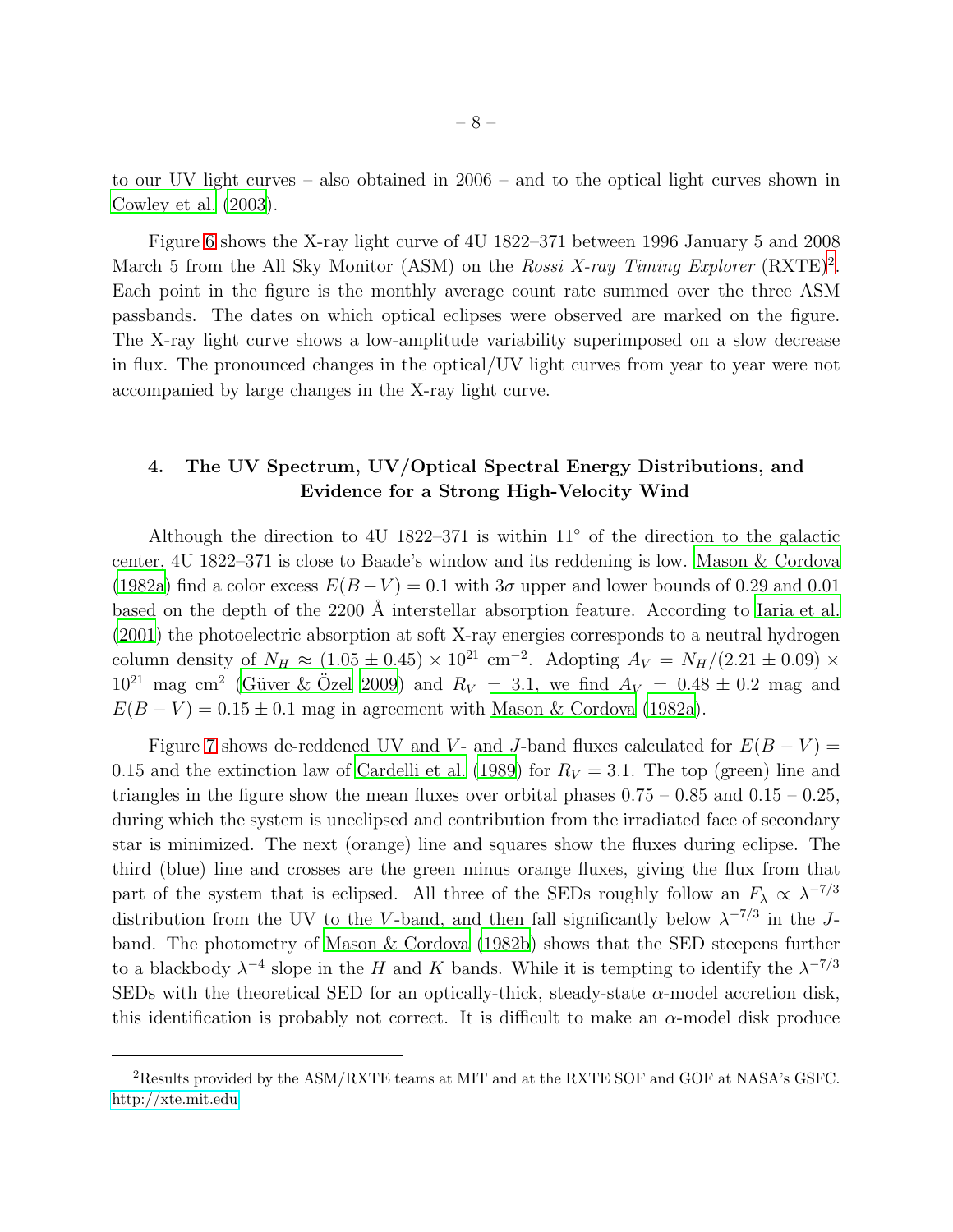to our UV light curves – also obtained in 2006 – and to the optical light curves shown in [Cowley et al. \(2003\)](#page-20-2).

Figure [6](#page-28-0) shows the X-ray light curve of 4U 1822–371 between 1996 January 5 and 2008 March 5 from the All Sky Monitor (ASM) on the Rossi X-ray Timing Explorer  $(RXTE)^2$  $(RXTE)^2$ . Each point in the figure is the monthly average count rate summed over the three ASM passbands. The dates on which optical eclipses were observed are marked on the figure. The X-ray light curve shows a low-amplitude variability superimposed on a slow decrease in flux. The pronounced changes in the optical/UV light curves from year to year were not accompanied by large changes in the X-ray light curve.

## 4. The UV Spectrum, UV/Optical Spectral Energy Distributions, and Evidence for a Strong High-Velocity Wind

Although the direction to 4U 1822–371 is within  $11°$  of the direction to the galactic center, 4U 1822–371 is close to Baade's window and its reddening is low. [Mason & Cordova](#page-21-1) [\(1982a\)](#page-21-1) find a color excess  $E(B-V) = 0.1$  with  $3\sigma$  upper and lower bounds of 0.29 and 0.01 based on the depth of the 2200 Å interstellar absorption feature. According to [Iaria et al.](#page-21-8) [\(2001\)](#page-21-8) the photoelectric absorption at soft X-ray energies corresponds to a neutral hydrogen column density of  $N_H \approx (1.05 \pm 0.45) \times 10^{21}$  cm<sup>-2</sup>. Adopting  $A_V = N_H/(2.21 \pm 0.09) \times$  $10^{21}$  mag cm<sup>2</sup> (Güver & Özel [2009\)](#page-21-13) and  $R_V = 3.1$ , we find  $A_V = 0.48 \pm 0.2$  mag and  $E(B - V) = 0.15 \pm 0.1$  mag in agreement with [Mason & Cordova \(1982a\)](#page-21-1).

Figure [7](#page-29-0) shows de-reddened UV and V- and J-band fluxes calculated for  $E(B-V)$  = 0.15 and the extinction law of [Cardelli et al. \(1989\)](#page-20-7) for  $R_V = 3.1$ . The top (green) line and triangles in the figure show the mean fluxes over orbital phases  $0.75 - 0.85$  and  $0.15 - 0.25$ , during which the system is uneclipsed and contribution from the irradiated face of secondary star is minimized. The next (orange) line and squares show the fluxes during eclipse. The third (blue) line and crosses are the green minus orange fluxes, giving the flux from that part of the system that is eclipsed. All three of the SEDs roughly follow an  $F_{\lambda} \propto \lambda^{-7/3}$ distribution from the UV to the V-band, and then fall significantly below  $\lambda^{-7/3}$  in the Jband. The photometry of [Mason & Cordova \(1982b\)](#page-21-5) shows that the SED steepens further to a blackbody  $\lambda^{-4}$  slope in the H and K bands. While it is tempting to identify the  $\lambda^{-7/3}$ SEDs with the theoretical SED for an optically-thick, steady-state  $\alpha$ -model accretion disk, this identification is probably not correct. It is difficult to make an  $\alpha$ -model disk produce

<span id="page-8-0"></span><sup>2</sup>Results provided by the ASM/RXTE teams at MIT and at the RXTE SOF and GOF at NASA's GSFC. <http://xte.mit.edu>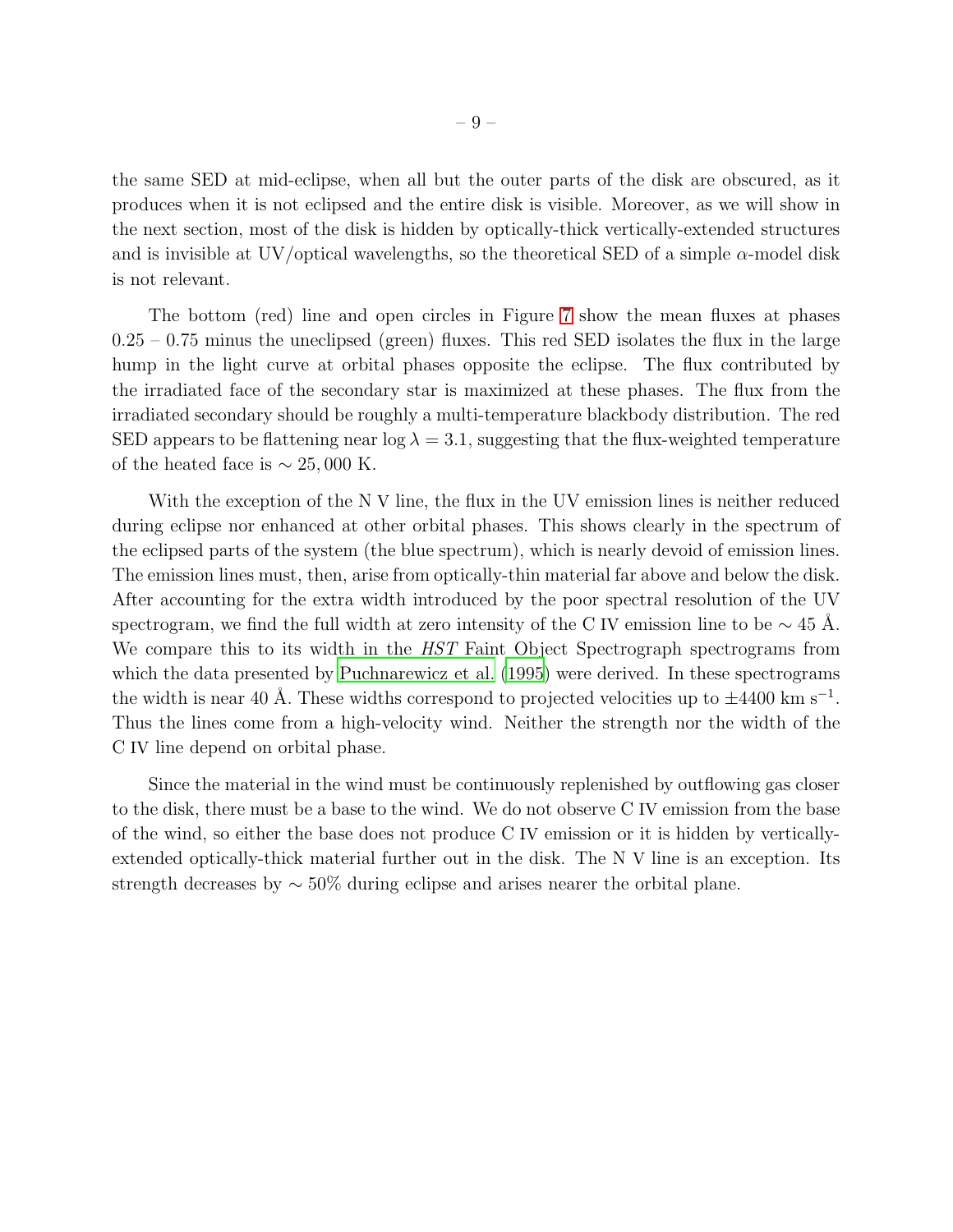the same SED at mid-eclipse, when all but the outer parts of the disk are obscured, as it produces when it is not eclipsed and the entire disk is visible. Moreover, as we will show in the next section, most of the disk is hidden by optically-thick vertically-extended structures and is invisible at UV/optical wavelengths, so the theoretical SED of a simple  $\alpha$ -model disk is not relevant.

The bottom (red) line and open circles in Figure [7](#page-29-0) show the mean fluxes at phases  $0.25 - 0.75$  minus the uneclipsed (green) fluxes. This red SED isolates the flux in the large hump in the light curve at orbital phases opposite the eclipse. The flux contributed by the irradiated face of the secondary star is maximized at these phases. The flux from the irradiated secondary should be roughly a multi-temperature blackbody distribution. The red SED appears to be flattening near  $\log \lambda = 3.1$ , suggesting that the flux-weighted temperature of the heated face is  $\sim 25,000$  K.

With the exception of the N V line, the flux in the UV emission lines is neither reduced during eclipse nor enhanced at other orbital phases. This shows clearly in the spectrum of the eclipsed parts of the system (the blue spectrum), which is nearly devoid of emission lines. The emission lines must, then, arise from optically-thin material far above and below the disk. After accounting for the extra width introduced by the poor spectral resolution of the UV spectrogram, we find the full width at zero intensity of the C IV emission line to be  $\sim$  45 Å. We compare this to its width in the *HST* Faint Object Spectrograph spectrograms from which the data presented by [Puchnarewicz et al. \(1995\)](#page-22-5) were derived. In these spectrograms the width is near 40 Å. These widths correspond to projected velocities up to  $\pm 4400 \text{ km s}^{-1}$ . Thus the lines come from a high-velocity wind. Neither the strength nor the width of the C IV line depend on orbital phase.

Since the material in the wind must be continuously replenished by outflowing gas closer to the disk, there must be a base to the wind. We do not observe C IV emission from the base of the wind, so either the base does not produce C IV emission or it is hidden by verticallyextended optically-thick material further out in the disk. The N V line is an exception. Its strength decreases by ∼ 50% during eclipse and arises nearer the orbital plane.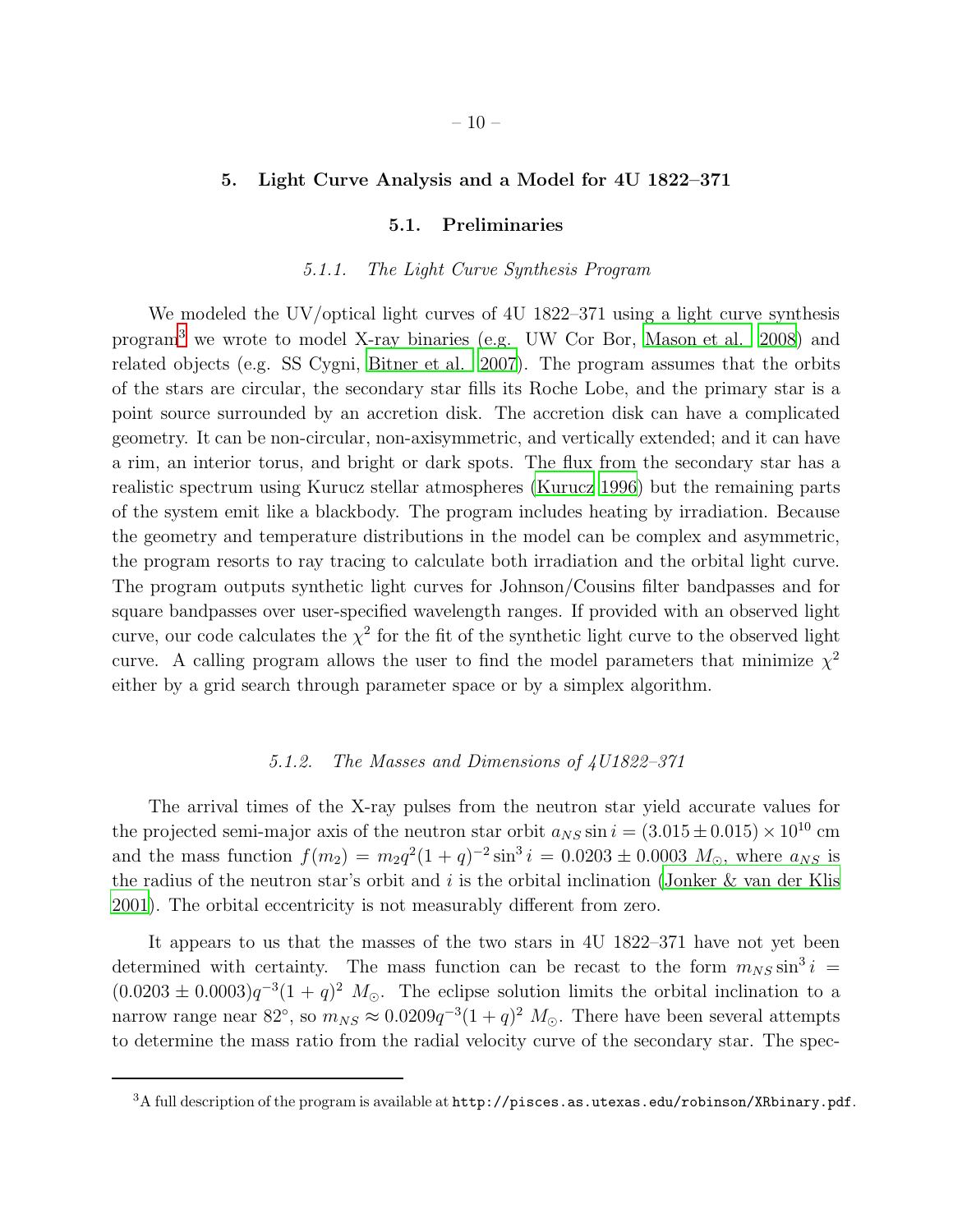#### 5. Light Curve Analysis and a Model for 4U 1822–371

#### 5.1. Preliminaries

#### 5.1.1. The Light Curve Synthesis Program

We modeled the UV/optical light curves of 4U 1822–371 using a light curve synthesis program[3](#page-22-12) we wrote to model X-ray binaries (e.g. UW Cor Bor, [Mason et al. 2008\)](#page-22-13) and related objects (e.g. SS Cygni, [Bitner et al. 2007\)](#page-20-8). The program assumes that the orbits of the stars are circular, the secondary star fills its Roche Lobe, and the primary star is a point source surrounded by an accretion disk. The accretion disk can have a complicated geometry. It can be non-circular, non-axisymmetric, and vertically extended; and it can have a rim, an interior torus, and bright or dark spots. The flux from the secondary star has a realistic spectrum using Kurucz stellar atmospheres [\(Kurucz 1996](#page-21-14)) but the remaining parts of the system emit like a blackbody. The program includes heating by irradiation. Because the geometry and temperature distributions in the model can be complex and asymmetric, the program resorts to ray tracing to calculate both irradiation and the orbital light curve. The program outputs synthetic light curves for Johnson/Cousins filter bandpasses and for square bandpasses over user-specified wavelength ranges. If provided with an observed light curve, our code calculates the  $\chi^2$  for the fit of the synthetic light curve to the observed light curve. A calling program allows the user to find the model parameters that minimize  $\chi^2$ either by a grid search through parameter space or by a simplex algorithm.

## 5.1.2. The Masses and Dimensions of 4U1822–371

The arrival times of the X-ray pulses from the neutron star yield accurate values for the projected semi-major axis of the neutron star orbit  $a_{NS} \sin i = (3.015 \pm 0.015) \times 10^{10}$  cm and the mass function  $f(m_2) = m_2 q^2 (1+q)^{-2} \sin^3 i = 0.0203 \pm 0.0003 M_{\odot}$ , where  $a_{NS}$  is the radius of the neutron star's orbit and  $i$  is the orbital inclination [\(Jonker & van der Klis](#page-21-0) [2001\)](#page-21-0). The orbital eccentricity is not measurably different from zero.

It appears to us that the masses of the two stars in 4U 1822–371 have not yet been determined with certainty. The mass function can be recast to the form  $m_{NS} \sin^3 i =$  $(0.0203 \pm 0.0003)q^{-3}(1 + q)^2 M_{\odot}$ . The eclipse solution limits the orbital inclination to a narrow range near 82°, so  $m_{NS} \approx 0.0209q^{-3}(1+q)^2$   $M_{\odot}$ . There have been several attempts to determine the mass ratio from the radial velocity curve of the secondary star. The spec-

 $^3\text{A}$  full description of the program is available at  $\texttt{http://pisces.as.utesas.edu/robinson/XRbinary.pdf}.$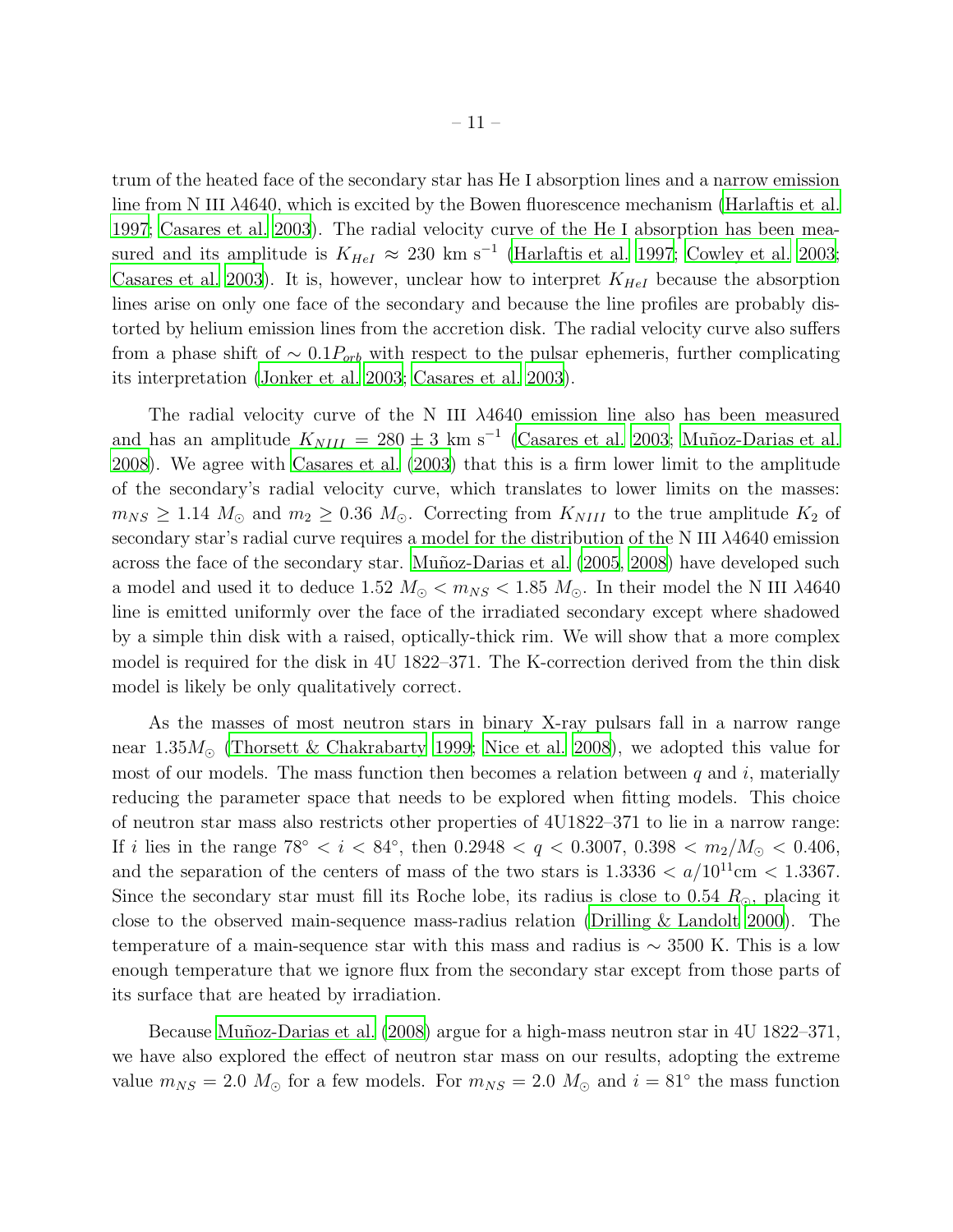trum of the heated face of the secondary star has He I absorption lines and a narrow emission line from N III  $\lambda$ 4640, which is excited by the Bowen fluorescence mechanism [\(Harlaftis et al.](#page-21-2) [1997;](#page-21-2) [Casares et al. 2003\)](#page-20-3). The radial velocity curve of the He I absorption has been measured and its amplitude is  $K_{HeI} \approx 230 \text{ km s}^{-1}$  [\(Harlaftis et al. 1997;](#page-21-2) [Cowley et al. 2003;](#page-20-2) [Casares et al. 2003\)](#page-20-3). It is, however, unclear how to interpret  $K_{HeI}$  because the absorption lines arise on only one face of the secondary and because the line profiles are probably distorted by helium emission lines from the accretion disk. The radial velocity curve also suffers from a phase shift of  $\sim 0.1 P_{orb}$  with respect to the pulsar ephemeris, further complicating its interpretation [\(Jonker et al. 2003;](#page-21-3) [Casares et al. 2003](#page-20-3)).

The radial velocity curve of the N III  $\lambda$ 4640 emission line also has been measured and has an amplitude  $K_{NIII} = 280 \pm 3$  km s<sup>-1</sup> [\(Casares et al. 2003;](#page-20-3) Muñoz-Darias et al. [2008\)](#page-22-14). We agree with [Casares et al. \(2003](#page-20-3)) that this is a firm lower limit to the amplitude of the secondary's radial velocity curve, which translates to lower limits on the masses:  $m_{NS} \geq 1.14 M_{\odot}$  and  $m_2 \geq 0.36 M_{\odot}$ . Correcting from  $K_{NIII}$  to the true amplitude  $K_2$  of secondary star's radial curve requires a model for the distribution of the N III λ4640 emission across the face of the secondary star. Muñoz-Darias et al. (2005, [2008\)](#page-22-14) have developed such a model and used it to deduce 1.52  $M_{\odot} < m_{NS} < 1.85$   $M_{\odot}$ . In their model the N III  $\lambda 4640$ line is emitted uniformly over the face of the irradiated secondary except where shadowed by a simple thin disk with a raised, optically-thick rim. We will show that a more complex model is required for the disk in 4U 1822–371. The K-correction derived from the thin disk model is likely be only qualitatively correct.

As the masses of most neutron stars in binary X-ray pulsars fall in a narrow range near  $1.35M_{\odot}$  [\(Thorsett & Chakrabarty 1999;](#page-22-16) [Nice et al. 2008](#page-22-17)), we adopted this value for most of our models. The mass function then becomes a relation between  $q$  and  $i$ , materially reducing the parameter space that needs to be explored when fitting models. This choice of neutron star mass also restricts other properties of 4U1822–371 to lie in a narrow range: If i lies in the range  $78° < i < 84°$ , then  $0.2948 < q < 0.3007$ ,  $0.398 < m_2/M_{\odot} < 0.406$ , and the separation of the centers of mass of the two stars is  $1.3336 < a/10^{11}$ cm  $< 1.3367$ . Since the secondary star must fill its Roche lobe, its radius is close to 0.54  $R_{\odot}$ , placing it close to the observed main-sequence mass-radius relation [\(Drilling &](#page-21-15) Landolt [2000\)](#page-21-15). The temperature of a main-sequence star with this mass and radius is  $\sim$  3500 K. This is a low enough temperature that we ignore flux from the secondary star except from those parts of its surface that are heated by irradiation.

Because Muñoz-Darias et al. (2008) argue for a high-mass neutron star in 4U 1822–371, we have also explored the effect of neutron star mass on our results, adopting the extreme value  $m_{NS} = 2.0$   $M_{\odot}$  for a few models. For  $m_{NS} = 2.0$   $M_{\odot}$  and  $i = 81^{\circ}$  the mass function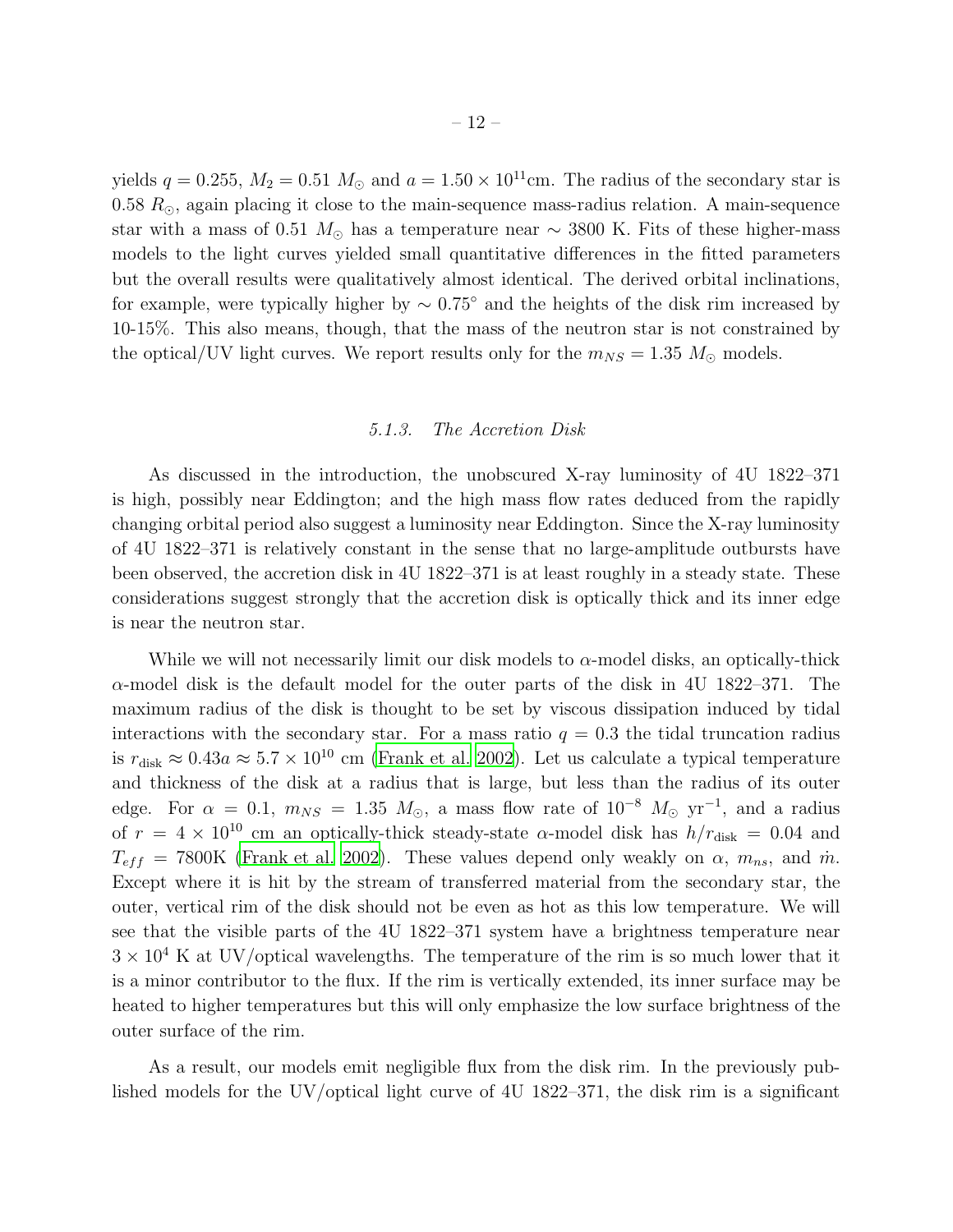yields  $q = 0.255$ ,  $M_2 = 0.51$   $M_{\odot}$  and  $a = 1.50 \times 10^{11}$ cm. The radius of the secondary star is 0.58  $R_{\odot}$ , again placing it close to the main-sequence mass-radius relation. A main-sequence star with a mass of 0.51  $M_{\odot}$  has a temperature near  $\sim$  3800 K. Fits of these higher-mass models to the light curves yielded small quantitative differences in the fitted parameters but the overall results were qualitatively almost identical. The derived orbital inclinations, for example, were typically higher by  $\sim 0.75^{\circ}$  and the heights of the disk rim increased by 10-15%. This also means, though, that the mass of the neutron star is not constrained by the optical/UV light curves. We report results only for the  $m_{NS} = 1.35$   $M_{\odot}$  models.

#### 5.1.3. The Accretion Disk

As discussed in the introduction, the unobscured X-ray luminosity of 4U 1822–371 is high, possibly near Eddington; and the high mass flow rates deduced from the rapidly changing orbital period also suggest a luminosity near Eddington. Since the X-ray luminosity of 4U 1822–371 is relatively constant in the sense that no large-amplitude outbursts have been observed, the accretion disk in 4U 1822–371 is at least roughly in a steady state. These considerations suggest strongly that the accretion disk is optically thick and its inner edge is near the neutron star.

While we will not necessarily limit our disk models to  $\alpha$ -model disks, an optically-thick  $\alpha$ -model disk is the default model for the outer parts of the disk in 4U 1822–371. The maximum radius of the disk is thought to be set by viscous dissipation induced by tidal interactions with the secondary star. For a mass ratio  $q = 0.3$  the tidal truncation radius is  $r_{\text{disk}} \approx 0.43a \approx 5.7 \times 10^{10}$  cm [\(Frank et al. 2002\)](#page-21-16). Let us calculate a typical temperature and thickness of the disk at a radius that is large, but less than the radius of its outer edge. For  $\alpha = 0.1$ ,  $m_{NS} = 1.35$   $M_{\odot}$ , a mass flow rate of  $10^{-8}$   $M_{\odot}$  yr<sup>-1</sup>, and a radius of  $r = 4 \times 10^{10}$  cm an optically-thick steady-state  $\alpha$ -model disk has  $h/r_{\text{disk}} = 0.04$  and  $T_{eff}$  = 7800K [\(Frank et al. 2002\)](#page-21-16). These values depend only weakly on  $\alpha$ ,  $m_{ns}$ , and  $\dot{m}$ . Except where it is hit by the stream of transferred material from the secondary star, the outer, vertical rim of the disk should not be even as hot as this low temperature. We will see that the visible parts of the 4U 1822–371 system have a brightness temperature near  $3 \times 10^4$  K at UV/optical wavelengths. The temperature of the rim is so much lower that it is a minor contributor to the flux. If the rim is vertically extended, its inner surface may be heated to higher temperatures but this will only emphasize the low surface brightness of the outer surface of the rim.

As a result, our models emit negligible flux from the disk rim. In the previously published models for the UV/optical light curve of 4U 1822–371, the disk rim is a significant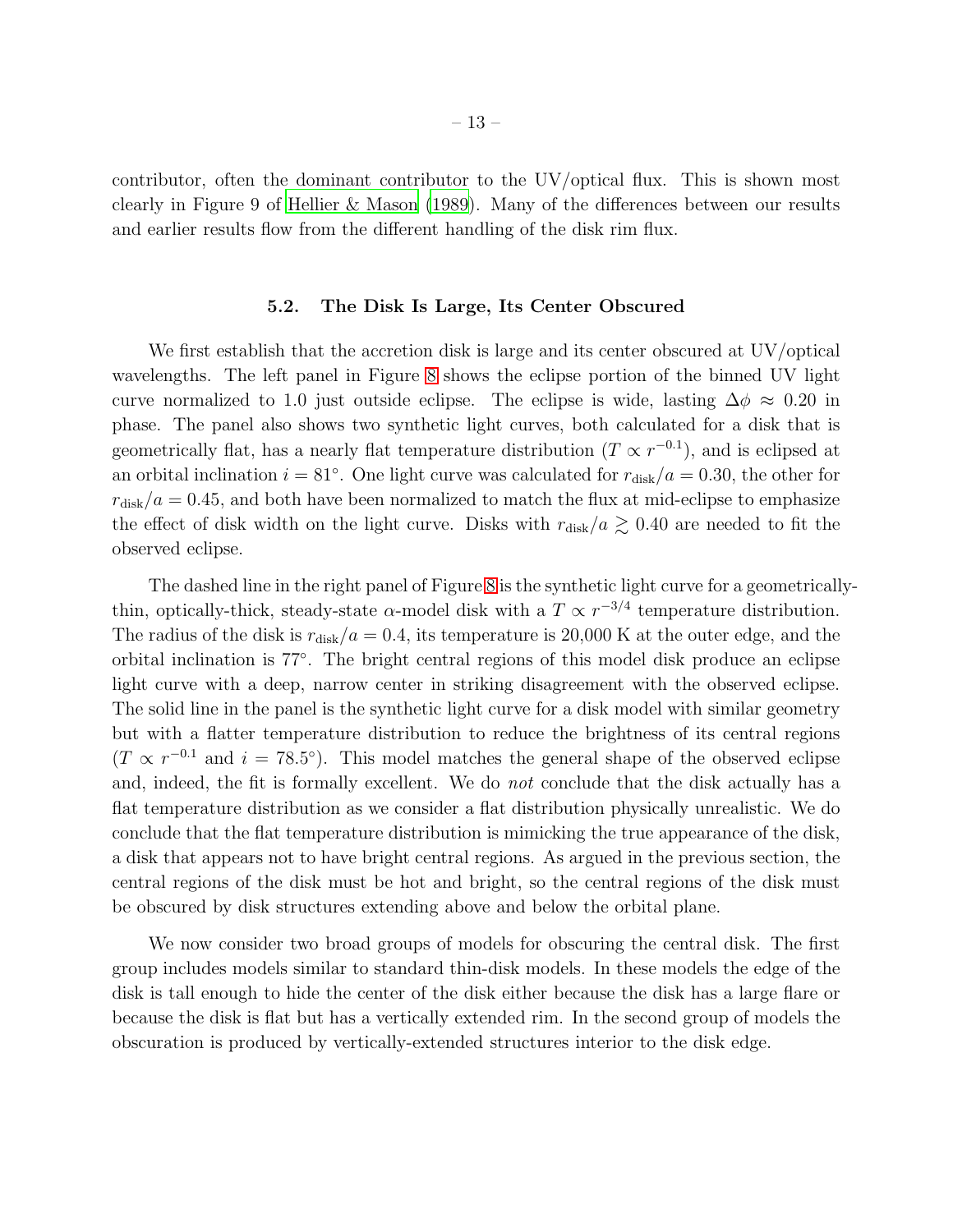contributor, often the dominant contributor to the UV/optical flux. This is shown most clearly in Figure 9 of [Hellier & Mason \(1989](#page-21-6)). Many of the differences between our results and earlier results flow from the different handling of the disk rim flux.

#### 5.2. The Disk Is Large, Its Center Obscured

We first establish that the accretion disk is large and its center obscured at UV/optical wavelengths. The left panel in Figure [8](#page-30-0) shows the eclipse portion of the binned UV light curve normalized to 1.0 just outside eclipse. The eclipse is wide, lasting  $\Delta \phi \approx 0.20$  in phase. The panel also shows two synthetic light curves, both calculated for a disk that is geometrically flat, has a nearly flat temperature distribution  $(T \propto r^{-0.1})$ , and is eclipsed at an orbital inclination  $i = 81°$ . One light curve was calculated for  $r_{disk}/a = 0.30$ , the other for  $r_{disk}/a = 0.45$ , and both have been normalized to match the flux at mid-eclipse to emphasize the effect of disk width on the light curve. Disks with  $r_{disk}/a \gtrsim 0.40$  are needed to fit the observed eclipse.

The dashed line in the right panel of Figure [8](#page-30-0) is the synthetic light curve for a geometricallythin, optically-thick, steady-state  $\alpha$ -model disk with a  $T \propto r^{-3/4}$  temperature distribution. The radius of the disk is  $r_{disk}/a = 0.4$ , its temperature is 20,000 K at the outer edge, and the orbital inclination is 77◦ . The bright central regions of this model disk produce an eclipse light curve with a deep, narrow center in striking disagreement with the observed eclipse. The solid line in the panel is the synthetic light curve for a disk model with similar geometry but with a flatter temperature distribution to reduce the brightness of its central regions  $(T \propto r^{-0.1}$  and  $i = 78.5^{\circ}$ ). This model matches the general shape of the observed eclipse and, indeed, the fit is formally excellent. We do not conclude that the disk actually has a flat temperature distribution as we consider a flat distribution physically unrealistic. We do conclude that the flat temperature distribution is mimicking the true appearance of the disk, a disk that appears not to have bright central regions. As argued in the previous section, the central regions of the disk must be hot and bright, so the central regions of the disk must be obscured by disk structures extending above and below the orbital plane.

We now consider two broad groups of models for obscuring the central disk. The first group includes models similar to standard thin-disk models. In these models the edge of the disk is tall enough to hide the center of the disk either because the disk has a large flare or because the disk is flat but has a vertically extended rim. In the second group of models the obscuration is produced by vertically-extended structures interior to the disk edge.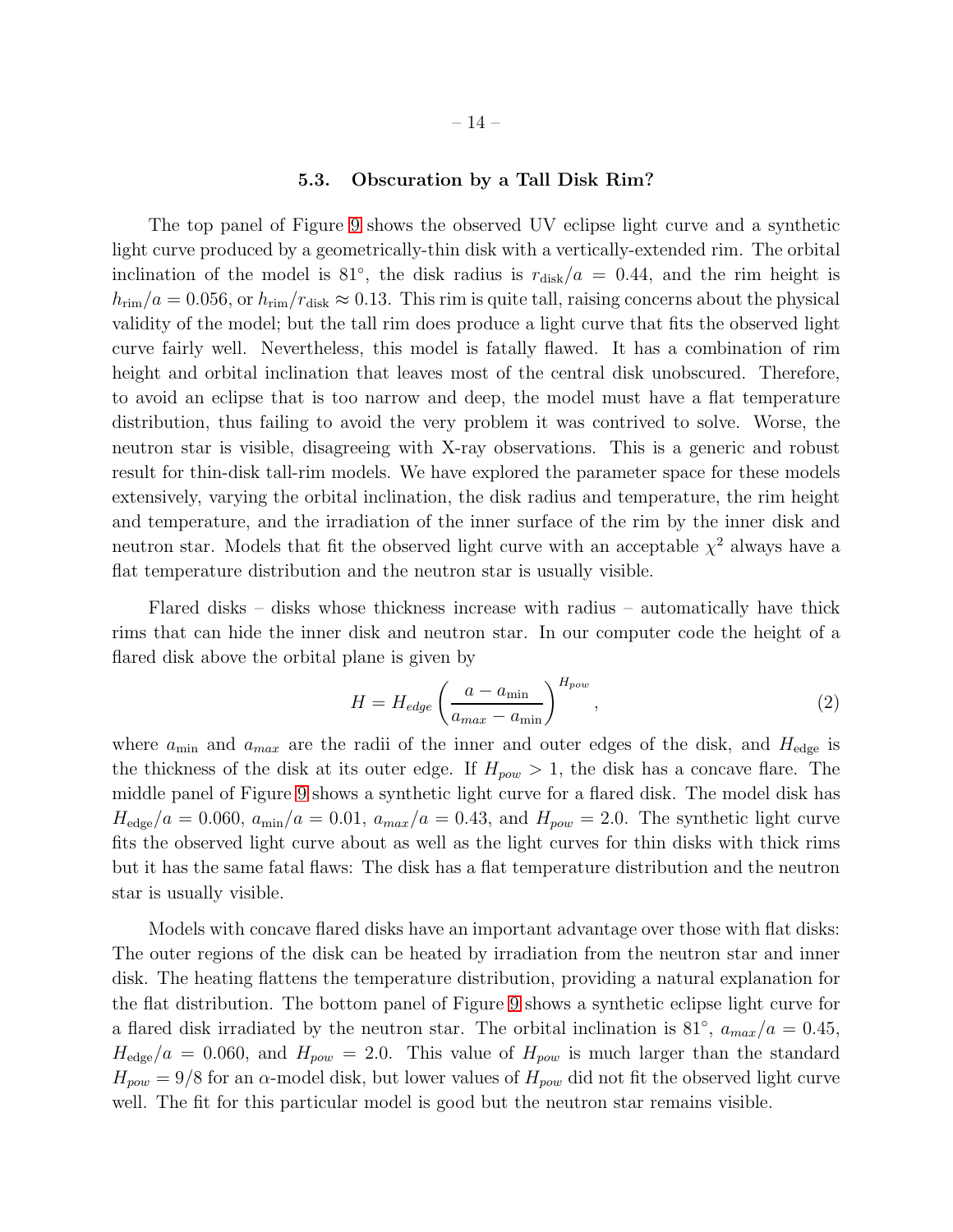#### 5.3. Obscuration by a Tall Disk Rim?

The top panel of Figure [9](#page-31-0) shows the observed UV eclipse light curve and a synthetic light curve produced by a geometrically-thin disk with a vertically-extended rim. The orbital inclination of the model is 81<sup>°</sup>, the disk radius is  $r_{\text{disk}}/a = 0.44$ , and the rim height is  $h_{\text{rim}}/a = 0.056$ , or  $h_{\text{rim}}/r_{\text{disk}} \approx 0.13$ . This rim is quite tall, raising concerns about the physical validity of the model; but the tall rim does produce a light curve that fits the observed light curve fairly well. Nevertheless, this model is fatally flawed. It has a combination of rim height and orbital inclination that leaves most of the central disk unobscured. Therefore, to avoid an eclipse that is too narrow and deep, the model must have a flat temperature distribution, thus failing to avoid the very problem it was contrived to solve. Worse, the neutron star is visible, disagreeing with X-ray observations. This is a generic and robust result for thin-disk tall-rim models. We have explored the parameter space for these models extensively, varying the orbital inclination, the disk radius and temperature, the rim height and temperature, and the irradiation of the inner surface of the rim by the inner disk and neutron star. Models that fit the observed light curve with an acceptable  $\chi^2$  always have a flat temperature distribution and the neutron star is usually visible.

Flared disks – disks whose thickness increase with radius – automatically have thick rims that can hide the inner disk and neutron star. In our computer code the height of a flared disk above the orbital plane is given by

<span id="page-14-0"></span>
$$
H = H_{edge} \left( \frac{a - a_{\min}}{a_{max} - a_{\min}} \right)^{H_{pow}},
$$
\n(2)

where  $a_{\text{min}}$  and  $a_{\text{max}}$  are the radii of the inner and outer edges of the disk, and  $H_{\text{edge}}$  is the thickness of the disk at its outer edge. If  $H_{pow} > 1$ , the disk has a concave flare. The middle panel of Figure [9](#page-31-0) shows a synthetic light curve for a flared disk. The model disk has  $H_{\text{edge}}/a = 0.060$ ,  $a_{\text{min}}/a = 0.01$ ,  $a_{\text{max}}/a = 0.43$ , and  $H_{\text{pow}} = 2.0$ . The synthetic light curve fits the observed light curve about as well as the light curves for thin disks with thick rims but it has the same fatal flaws: The disk has a flat temperature distribution and the neutron star is usually visible.

Models with concave flared disks have an important advantage over those with flat disks: The outer regions of the disk can be heated by irradiation from the neutron star and inner disk. The heating flattens the temperature distribution, providing a natural explanation for the flat distribution. The bottom panel of Figure [9](#page-31-0) shows a synthetic eclipse light curve for a flared disk irradiated by the neutron star. The orbital inclination is 81<sup>°</sup>,  $a_{max}/a = 0.45$ ,  $H_{\text{edge}}/a = 0.060$ , and  $H_{pow} = 2.0$ . This value of  $H_{pow}$  is much larger than the standard  $H_{pow} = 9/8$  for an  $\alpha$ -model disk, but lower values of  $H_{pow}$  did not fit the observed light curve well. The fit for this particular model is good but the neutron star remains visible.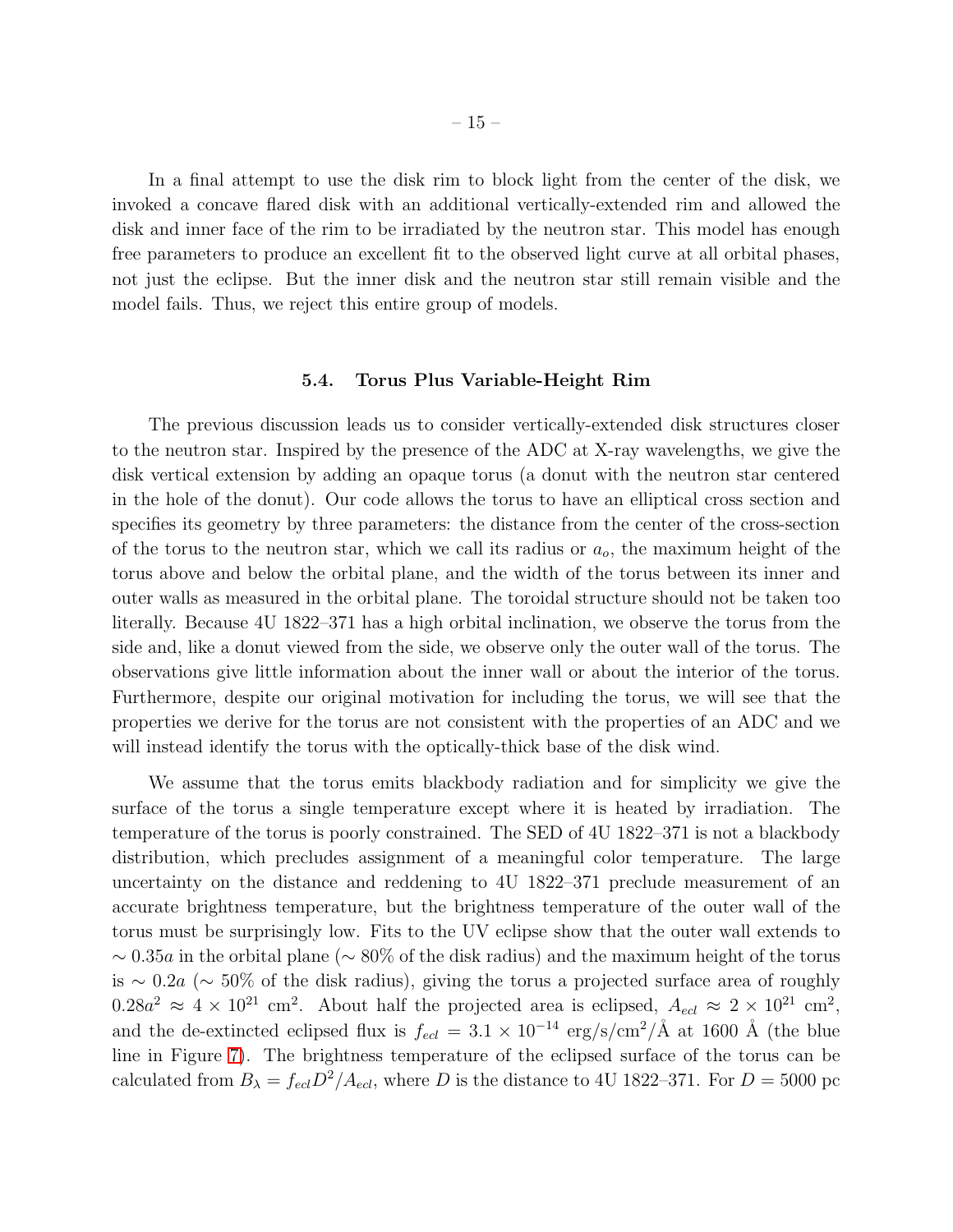In a final attempt to use the disk rim to block light from the center of the disk, we invoked a concave flared disk with an additional vertically-extended rim and allowed the disk and inner face of the rim to be irradiated by the neutron star. This model has enough free parameters to produce an excellent fit to the observed light curve at all orbital phases, not just the eclipse. But the inner disk and the neutron star still remain visible and the model fails. Thus, we reject this entire group of models.

#### 5.4. Torus Plus Variable-Height Rim

The previous discussion leads us to consider vertically-extended disk structures closer to the neutron star. Inspired by the presence of the ADC at X-ray wavelengths, we give the disk vertical extension by adding an opaque torus (a donut with the neutron star centered in the hole of the donut). Our code allows the torus to have an elliptical cross section and specifies its geometry by three parameters: the distance from the center of the cross-section of the torus to the neutron star, which we call its radius or  $a_{\text{o}}$ , the maximum height of the torus above and below the orbital plane, and the width of the torus between its inner and outer walls as measured in the orbital plane. The toroidal structure should not be taken too literally. Because 4U 1822–371 has a high orbital inclination, we observe the torus from the side and, like a donut viewed from the side, we observe only the outer wall of the torus. The observations give little information about the inner wall or about the interior of the torus. Furthermore, despite our original motivation for including the torus, we will see that the properties we derive for the torus are not consistent with the properties of an ADC and we will instead identify the torus with the optically-thick base of the disk wind.

We assume that the torus emits blackbody radiation and for simplicity we give the surface of the torus a single temperature except where it is heated by irradiation. The temperature of the torus is poorly constrained. The SED of 4U 1822–371 is not a blackbody distribution, which precludes assignment of a meaningful color temperature. The large uncertainty on the distance and reddening to 4U 1822–371 preclude measurement of an accurate brightness temperature, but the brightness temperature of the outer wall of the torus must be surprisingly low. Fits to the UV eclipse show that the outer wall extends to  $\sim 0.35a$  in the orbital plane ( $\sim 80\%$  of the disk radius) and the maximum height of the torus is ∼ 0.2a (∼ 50% of the disk radius), giving the torus a projected surface area of roughly  $0.28a^2 \approx 4 \times 10^{21}$  cm<sup>2</sup>. About half the projected area is eclipsed,  $A_{ecl} \approx 2 \times 10^{21}$  cm<sup>2</sup>, and the de-extincted eclipsed flux is  $f_{ecl} = 3.1 \times 10^{-14} \text{ erg/s/cm}^2/\text{\AA}$  at 1600 Å (the blue line in Figure [7\)](#page-29-0). The brightness temperature of the eclipsed surface of the torus can be calculated from  $B_{\lambda} = f_{ecl}D^2/A_{ecl}$ , where D is the distance to 4U 1822–371. For  $D = 5000$  pc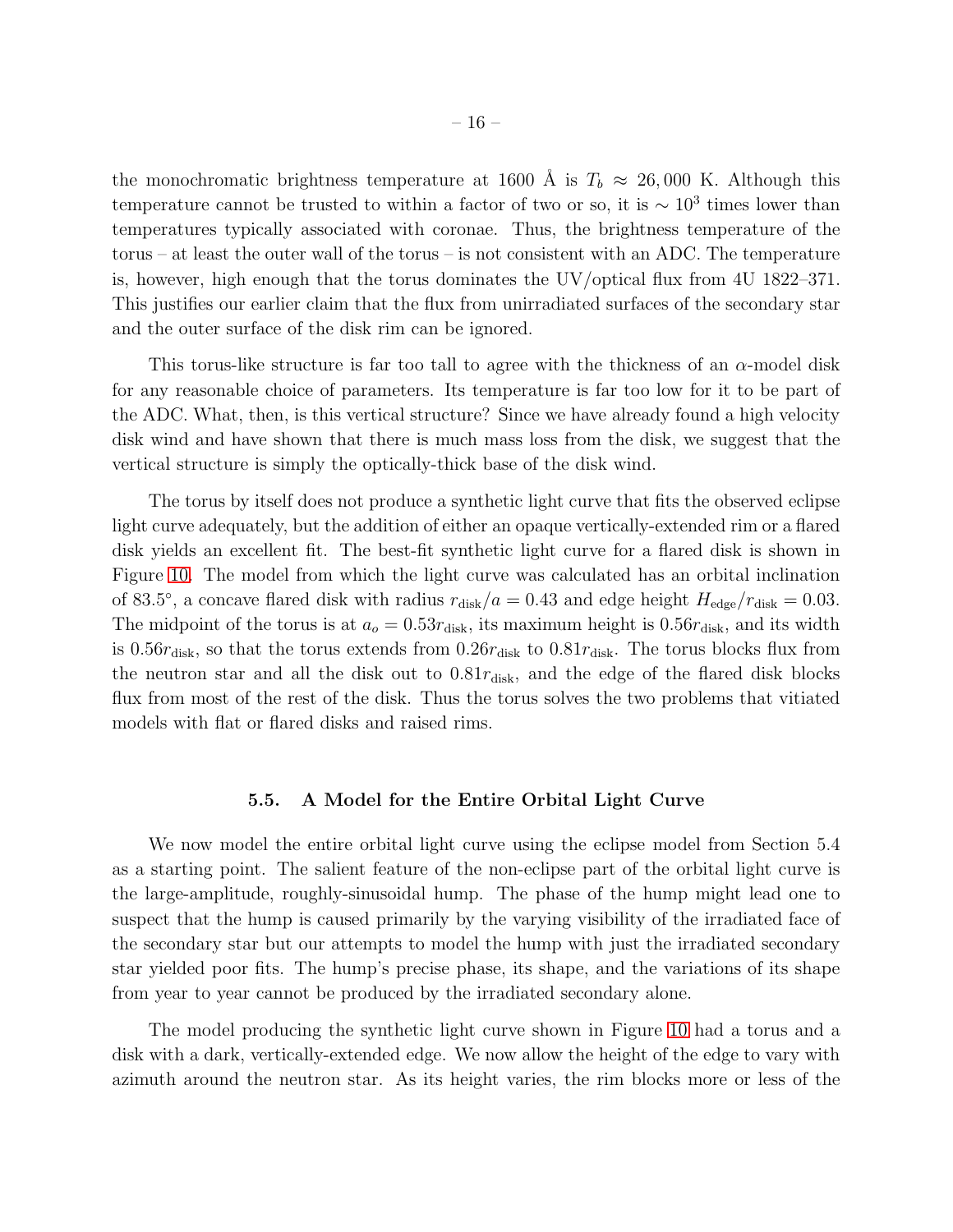the monochromatic brightness temperature at 1600 Å is  $T_b \approx 26,000$  K. Although this temperature cannot be trusted to within a factor of two or so, it is  $\sim 10^3$  times lower than temperatures typically associated with coronae. Thus, the brightness temperature of the torus – at least the outer wall of the torus – is not consistent with an ADC. The temperature is, however, high enough that the torus dominates the UV/optical flux from 4U 1822–371. This justifies our earlier claim that the flux from unirradiated surfaces of the secondary star and the outer surface of the disk rim can be ignored.

This torus-like structure is far too tall to agree with the thickness of an  $\alpha$ -model disk for any reasonable choice of parameters. Its temperature is far too low for it to be part of the ADC. What, then, is this vertical structure? Since we have already found a high velocity disk wind and have shown that there is much mass loss from the disk, we suggest that the vertical structure is simply the optically-thick base of the disk wind.

The torus by itself does not produce a synthetic light curve that fits the observed eclipse light curve adequately, but the addition of either an opaque vertically-extended rim or a flared disk yields an excellent fit. The best-fit synthetic light curve for a flared disk is shown in Figure [10.](#page-32-0) The model from which the light curve was calculated has an orbital inclination of 83.5°, a concave flared disk with radius  $r_{\text{disk}}/a = 0.43$  and edge height  $H_{\text{edge}}/r_{\text{disk}} = 0.03$ . The midpoint of the torus is at  $a_0 = 0.53r_{\text{disk}}$ , its maximum height is  $0.56r_{\text{disk}}$ , and its width is 0.56 $r_{\rm disk}$ , so that the torus extends from 0.26 $r_{\rm disk}$  to 0.81 $r_{\rm disk}$ . The torus blocks flux from the neutron star and all the disk out to  $0.81r_{\text{disk}}$ , and the edge of the flared disk blocks flux from most of the rest of the disk. Thus the torus solves the two problems that vitiated models with flat or flared disks and raised rims.

#### 5.5. A Model for the Entire Orbital Light Curve

We now model the entire orbital light curve using the eclipse model from Section 5.4 as a starting point. The salient feature of the non-eclipse part of the orbital light curve is the large-amplitude, roughly-sinusoidal hump. The phase of the hump might lead one to suspect that the hump is caused primarily by the varying visibility of the irradiated face of the secondary star but our attempts to model the hump with just the irradiated secondary star yielded poor fits. The hump's precise phase, its shape, and the variations of its shape from year to year cannot be produced by the irradiated secondary alone.

The model producing the synthetic light curve shown in Figure [10](#page-32-0) had a torus and a disk with a dark, vertically-extended edge. We now allow the height of the edge to vary with azimuth around the neutron star. As its height varies, the rim blocks more or less of the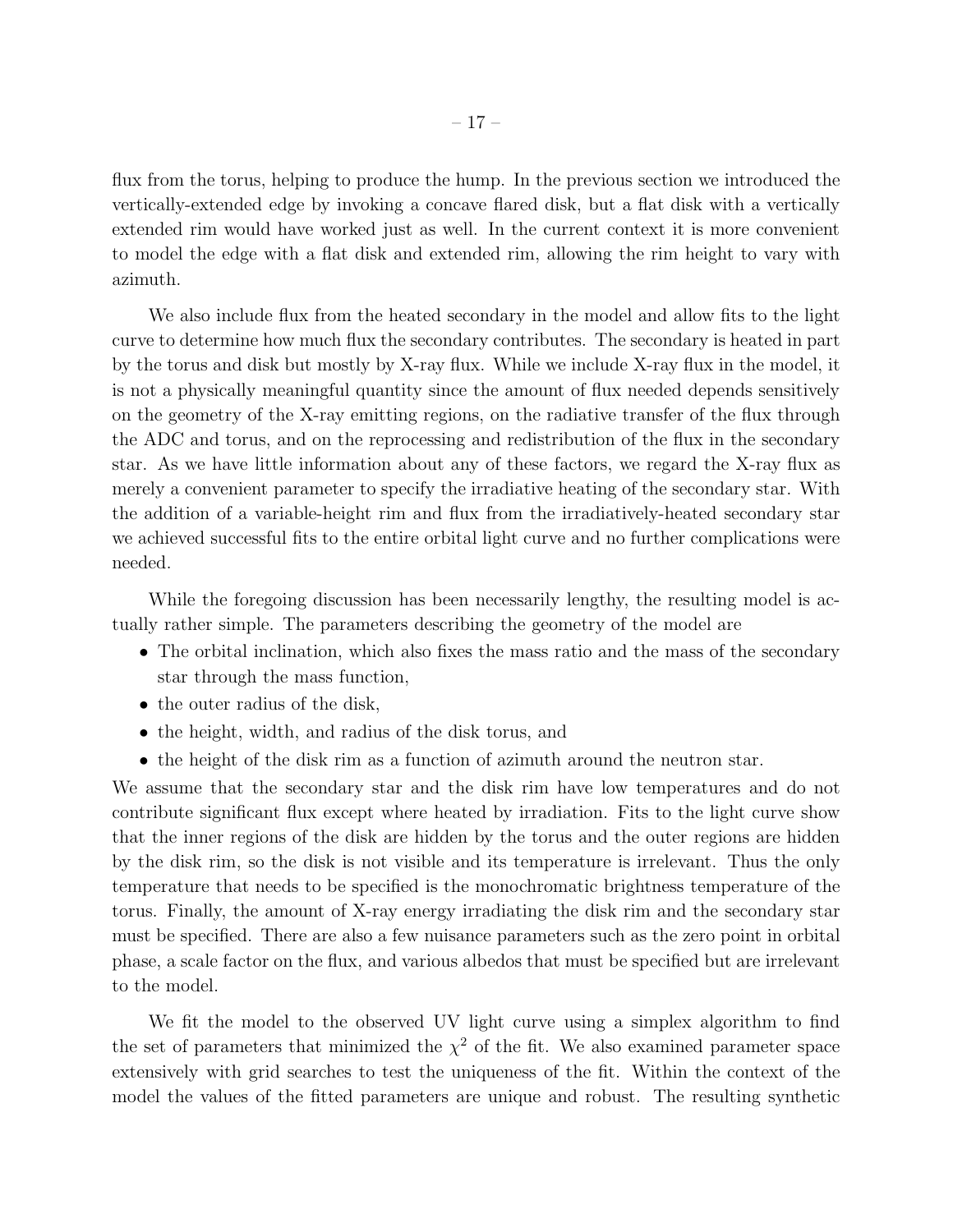flux from the torus, helping to produce the hump. In the previous section we introduced the vertically-extended edge by invoking a concave flared disk, but a flat disk with a vertically extended rim would have worked just as well. In the current context it is more convenient to model the edge with a flat disk and extended rim, allowing the rim height to vary with azimuth.

We also include flux from the heated secondary in the model and allow fits to the light curve to determine how much flux the secondary contributes. The secondary is heated in part by the torus and disk but mostly by X-ray flux. While we include X-ray flux in the model, it is not a physically meaningful quantity since the amount of flux needed depends sensitively on the geometry of the X-ray emitting regions, on the radiative transfer of the flux through the ADC and torus, and on the reprocessing and redistribution of the flux in the secondary star. As we have little information about any of these factors, we regard the X-ray flux as merely a convenient parameter to specify the irradiative heating of the secondary star. With the addition of a variable-height rim and flux from the irradiatively-heated secondary star we achieved successful fits to the entire orbital light curve and no further complications were needed.

While the foregoing discussion has been necessarily lengthy, the resulting model is actually rather simple. The parameters describing the geometry of the model are

- The orbital inclination, which also fixes the mass ratio and the mass of the secondary star through the mass function,
- the outer radius of the disk,
- the height, width, and radius of the disk torus, and
- the height of the disk rim as a function of azimuth around the neutron star.

We assume that the secondary star and the disk rim have low temperatures and do not contribute significant flux except where heated by irradiation. Fits to the light curve show that the inner regions of the disk are hidden by the torus and the outer regions are hidden by the disk rim, so the disk is not visible and its temperature is irrelevant. Thus the only temperature that needs to be specified is the monochromatic brightness temperature of the torus. Finally, the amount of X-ray energy irradiating the disk rim and the secondary star must be specified. There are also a few nuisance parameters such as the zero point in orbital phase, a scale factor on the flux, and various albedos that must be specified but are irrelevant to the model.

We fit the model to the observed UV light curve using a simplex algorithm to find the set of parameters that minimized the  $\chi^2$  of the fit. We also examined parameter space extensively with grid searches to test the uniqueness of the fit. Within the context of the model the values of the fitted parameters are unique and robust. The resulting synthetic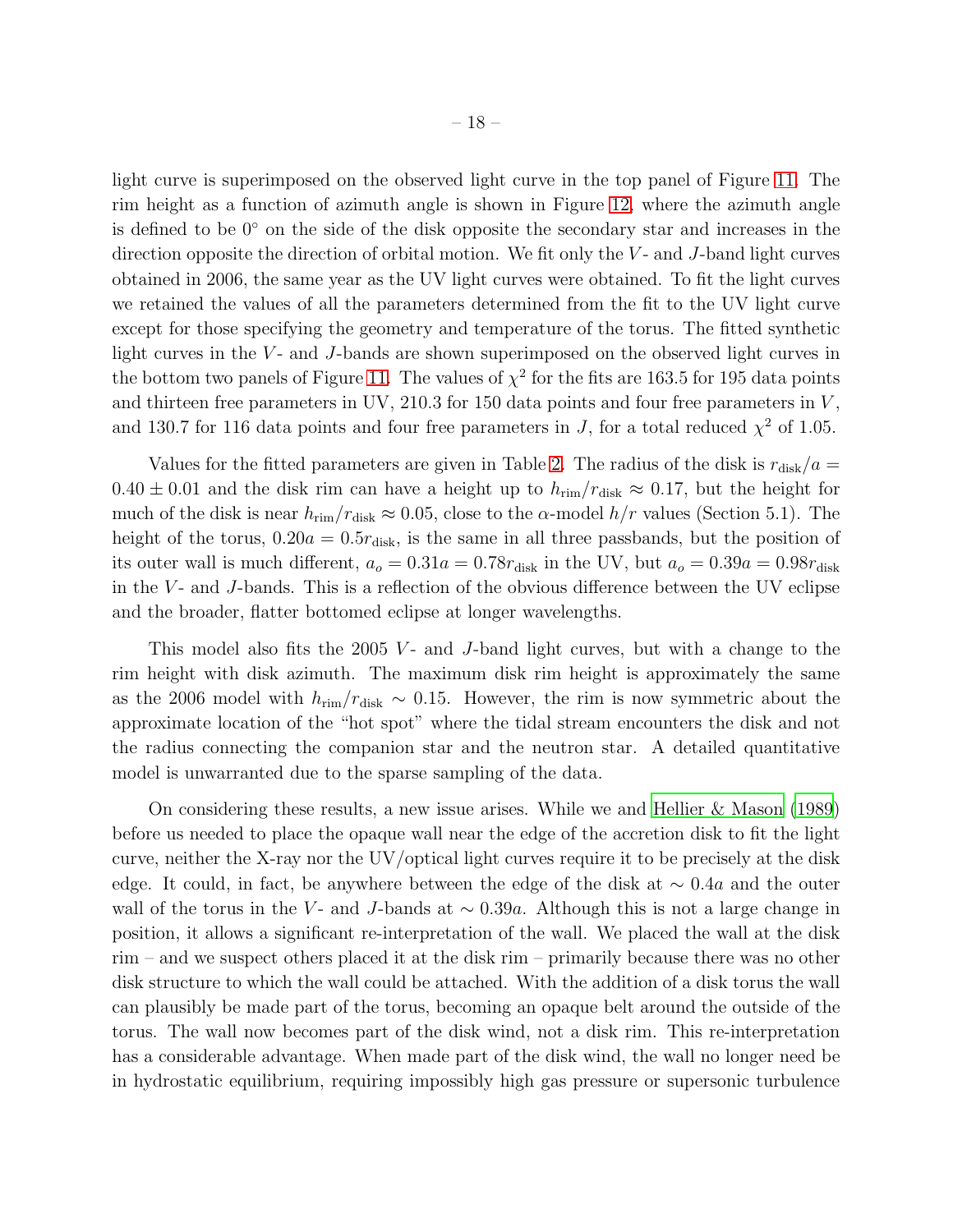light curve is superimposed on the observed light curve in the top panel of Figure [11.](#page-33-0) The rim height as a function of azimuth angle is shown in Figure [12,](#page-34-0) where the azimuth angle is defined to be 0◦ on the side of the disk opposite the secondary star and increases in the direction opposite the direction of orbital motion. We fit only the  $V$ - and  $J$ -band light curves obtained in 2006, the same year as the UV light curves were obtained. To fit the light curves we retained the values of all the parameters determined from the fit to the UV light curve except for those specifying the geometry and temperature of the torus. The fitted synthetic light curves in the  $V$ - and  $J$ -bands are shown superimposed on the observed light curves in the bottom two panels of Figure [11.](#page-33-0) The values of  $\chi^2$  for the fits are 163.5 for 195 data points and thirteen free parameters in UV,  $210.3$  for 150 data points and four free parameters in  $V$ , and 130.7 for 116 data points and four free parameters in J, for a total reduced  $\chi^2$  of 1.05.

Values for the fitted parameters are given in Table [2.](#page-36-0) The radius of the disk is  $r_{\text{disk}}/a$  $0.40 \pm 0.01$  and the disk rim can have a height up to  $h_{\text{rim}}/r_{\text{disk}} \approx 0.17$ , but the height for much of the disk is near  $h_{\text{rim}}/r_{\text{disk}} \approx 0.05$ , close to the  $\alpha$ -model  $h/r$  values (Section 5.1). The height of the torus,  $0.20a = 0.5r_{disk}$ , is the same in all three passbands, but the position of its outer wall is much different,  $a_o = 0.31a = 0.78r_{disk}$  in the UV, but  $a_o = 0.39a = 0.98r_{disk}$ in the  $V$ - and J-bands. This is a reflection of the obvious difference between the UV eclipse and the broader, flatter bottomed eclipse at longer wavelengths.

This model also fits the 2005  $V$ - and  $J$ -band light curves, but with a change to the rim height with disk azimuth. The maximum disk rim height is approximately the same as the 2006 model with  $h_{\text{rim}}/r_{\text{disk}} \sim 0.15$ . However, the rim is now symmetric about the approximate location of the "hot spot" where the tidal stream encounters the disk and not the radius connecting the companion star and the neutron star. A detailed quantitative model is unwarranted due to the sparse sampling of the data.

On considering these results, a new issue arises. While we and [Hellier & Mason \(1989\)](#page-21-6) before us needed to place the opaque wall near the edge of the accretion disk to fit the light curve, neither the X-ray nor the UV/optical light curves require it to be precisely at the disk edge. It could, in fact, be anywhere between the edge of the disk at  $\sim 0.4a$  and the outer wall of the torus in the V- and J-bands at  $\sim 0.39a$ . Although this is not a large change in position, it allows a significant re-interpretation of the wall. We placed the wall at the disk rim – and we suspect others placed it at the disk rim – primarily because there was no other disk structure to which the wall could be attached. With the addition of a disk torus the wall can plausibly be made part of the torus, becoming an opaque belt around the outside of the torus. The wall now becomes part of the disk wind, not a disk rim. This re-interpretation has a considerable advantage. When made part of the disk wind, the wall no longer need be in hydrostatic equilibrium, requiring impossibly high gas pressure or supersonic turbulence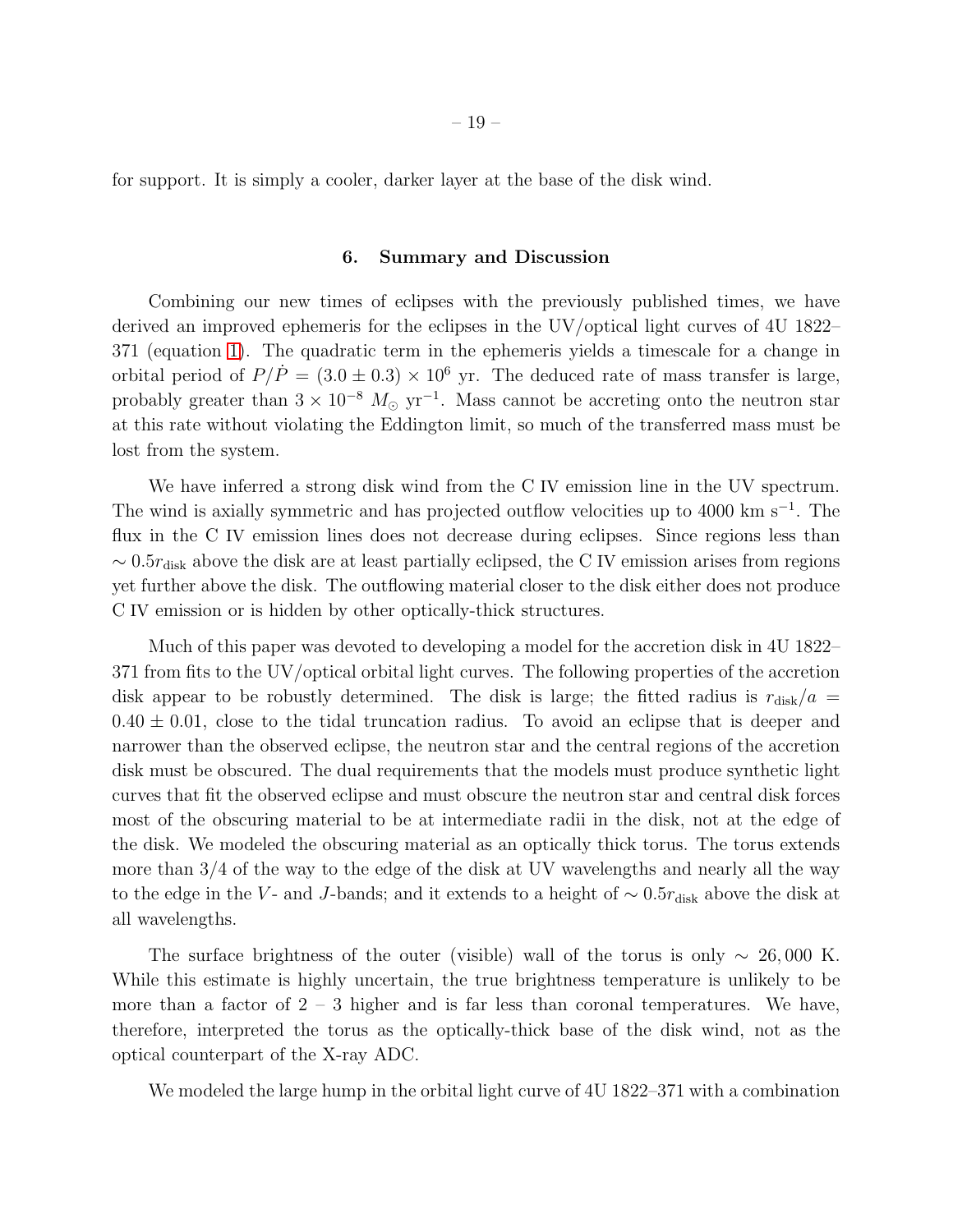for support. It is simply a cooler, darker layer at the base of the disk wind.

## 6. Summary and Discussion

Combining our new times of eclipses with the previously published times, we have derived an improved ephemeris for the eclipses in the UV/optical light curves of 4U 1822– 371 (equation [1\)](#page-6-0). The quadratic term in the ephemeris yields a timescale for a change in orbital period of  $P/\dot{P} = (3.0 \pm 0.3) \times 10^6$  yr. The deduced rate of mass transfer is large, probably greater than  $3 \times 10^{-8}$   $M_{\odot}$  yr<sup>-1</sup>. Mass cannot be accreting onto the neutron star at this rate without violating the Eddington limit, so much of the transferred mass must be lost from the system.

We have inferred a strong disk wind from the C IV emission line in the UV spectrum. The wind is axially symmetric and has projected outflow velocities up to 4000 km s<sup>−</sup><sup>1</sup> . The flux in the C IV emission lines does not decrease during eclipses. Since regions less than  $\sim 0.5r_{\rm disk}$  above the disk are at least partially eclipsed, the C IV emission arises from regions yet further above the disk. The outflowing material closer to the disk either does not produce C IV emission or is hidden by other optically-thick structures.

Much of this paper was devoted to developing a model for the accretion disk in 4U 1822– 371 from fits to the UV/optical orbital light curves. The following properties of the accretion disk appear to be robustly determined. The disk is large; the fitted radius is  $r_{\text{disk}}/a$  =  $0.40 \pm 0.01$ , close to the tidal truncation radius. To avoid an eclipse that is deeper and narrower than the observed eclipse, the neutron star and the central regions of the accretion disk must be obscured. The dual requirements that the models must produce synthetic light curves that fit the observed eclipse and must obscure the neutron star and central disk forces most of the obscuring material to be at intermediate radii in the disk, not at the edge of the disk. We modeled the obscuring material as an optically thick torus. The torus extends more than 3/4 of the way to the edge of the disk at UV wavelengths and nearly all the way to the edge in the V- and J-bands; and it extends to a height of  $\sim 0.5r_{\text{disk}}$  above the disk at all wavelengths.

The surface brightness of the outer (visible) wall of the torus is only  $\sim 26,000$  K. While this estimate is highly uncertain, the true brightness temperature is unlikely to be more than a factor of  $2 - 3$  higher and is far less than coronal temperatures. We have, therefore, interpreted the torus as the optically-thick base of the disk wind, not as the optical counterpart of the X-ray ADC.

We modeled the large hump in the orbital light curve of 4U 1822–371 with a combination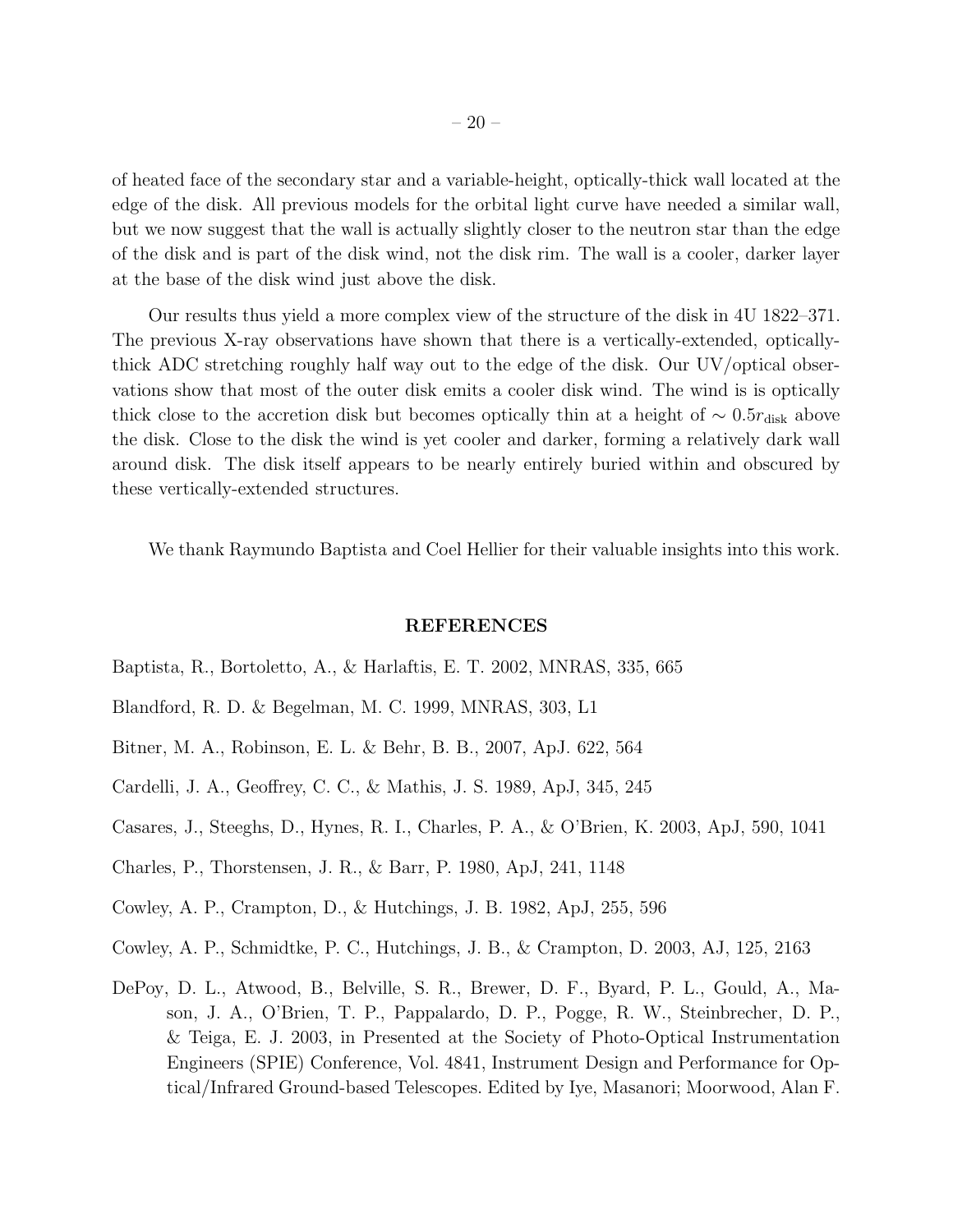of heated face of the secondary star and a variable-height, optically-thick wall located at the edge of the disk. All previous models for the orbital light curve have needed a similar wall, but we now suggest that the wall is actually slightly closer to the neutron star than the edge of the disk and is part of the disk wind, not the disk rim. The wall is a cooler, darker layer at the base of the disk wind just above the disk.

Our results thus yield a more complex view of the structure of the disk in 4U 1822–371. The previous X-ray observations have shown that there is a vertically-extended, opticallythick ADC stretching roughly half way out to the edge of the disk. Our UV/optical observations show that most of the outer disk emits a cooler disk wind. The wind is is optically thick close to the accretion disk but becomes optically thin at a height of  $\sim 0.5r_{\rm disk}$  above the disk. Close to the disk the wind is yet cooler and darker, forming a relatively dark wall around disk. The disk itself appears to be nearly entirely buried within and obscured by these vertically-extended structures.

We thank Raymundo Baptista and Coel Hellier for their valuable insights into this work.

#### REFERENCES

- <span id="page-20-4"></span>Baptista, R., Bortoletto, A., & Harlaftis, E. T. 2002, MNRAS, 335, 665
- <span id="page-20-5"></span>Blandford, R. D. & Begelman, M. C. 1999, MNRAS, 303, L1
- <span id="page-20-8"></span>Bitner, M. A., Robinson, E. L. & Behr, B. B., 2007, ApJ. 622, 564
- <span id="page-20-7"></span>Cardelli, J. A., Geoffrey, C. C., & Mathis, J. S. 1989, ApJ, 345, 245
- <span id="page-20-3"></span>Casares, J., Steeghs, D., Hynes, R. I., Charles, P. A., & O'Brien, K. 2003, ApJ, 590, 1041
- <span id="page-20-0"></span>Charles, P., Thorstensen, J. R., & Barr, P. 1980, ApJ, 241, 1148
- <span id="page-20-1"></span>Cowley, A. P., Crampton, D., & Hutchings, J. B. 1982, ApJ, 255, 596
- <span id="page-20-2"></span>Cowley, A. P., Schmidtke, P. C., Hutchings, J. B., & Crampton, D. 2003, AJ, 125, 2163
- <span id="page-20-6"></span>DePoy, D. L., Atwood, B., Belville, S. R., Brewer, D. F., Byard, P. L., Gould, A., Mason, J. A., O'Brien, T. P., Pappalardo, D. P., Pogge, R. W., Steinbrecher, D. P., & Teiga, E. J. 2003, in Presented at the Society of Photo-Optical Instrumentation Engineers (SPIE) Conference, Vol. 4841, Instrument Design and Performance for Optical/Infrared Ground-based Telescopes. Edited by Iye, Masanori; Moorwood, Alan F.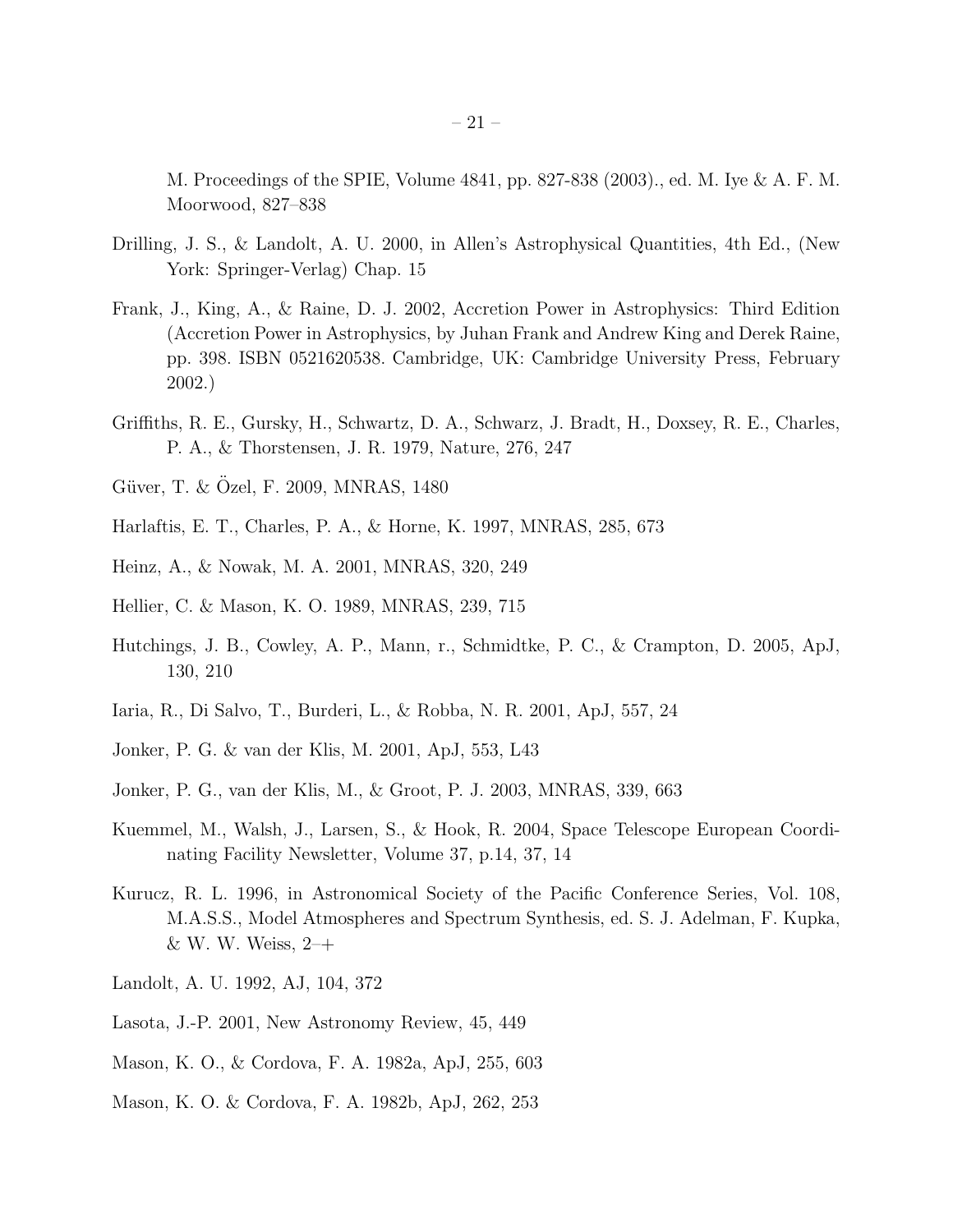M. Proceedings of the SPIE, Volume 4841, pp. 827-838 (2003)., ed. M. Iye & A. F. M. Moorwood, 827–838

- <span id="page-21-15"></span>Drilling, J. S., & Landolt, A. U. 2000, in Allen's Astrophysical Quantities, 4th Ed., (New York: Springer-Verlag) Chap. 15
- <span id="page-21-16"></span>Frank, J., King, A., & Raine, D. J. 2002, Accretion Power in Astrophysics: Third Edition (Accretion Power in Astrophysics, by Juhan Frank and Andrew King and Derek Raine, pp. 398. ISBN 0521620538. Cambridge, UK: Cambridge University Press, February 2002.)
- <span id="page-21-7"></span>Griffiths, R. E., Gursky, H., Schwartz, D. A., Schwarz, J. Bradt, H., Doxsey, R. E., Charles, P. A., & Thorstensen, J. R. 1979, Nature, 276, 247
- <span id="page-21-13"></span>Güver, T. & Özel, F. 2009, MNRAS, 1480
- <span id="page-21-2"></span>Harlaftis, E. T., Charles, P. A., & Horne, K. 1997, MNRAS, 285, 673
- <span id="page-21-12"></span>Heinz, A., & Nowak, M. A. 2001, MNRAS, 320, 249
- <span id="page-21-6"></span>Hellier, C. & Mason, K. O. 1989, MNRAS, 239, 715
- <span id="page-21-4"></span>Hutchings, J. B., Cowley, A. P., Mann, r., Schmidtke, P. C., & Crampton, D. 2005, ApJ, 130, 210
- <span id="page-21-8"></span>Iaria, R., Di Salvo, T., Burderi, L., & Robba, N. R. 2001, ApJ, 557, 24
- <span id="page-21-0"></span>Jonker, P. G. & van der Klis, M. 2001, ApJ, 553, L43
- <span id="page-21-3"></span>Jonker, P. G., van der Klis, M., & Groot, P. J. 2003, MNRAS, 339, 663
- <span id="page-21-11"></span>Kuemmel, M., Walsh, J., Larsen, S., & Hook, R. 2004, Space Telescope European Coordinating Facility Newsletter, Volume 37, p.14, 37, 14
- <span id="page-21-14"></span>Kurucz, R. L. 1996, in Astronomical Society of the Pacific Conference Series, Vol. 108, M.A.S.S., Model Atmospheres and Spectrum Synthesis, ed. S. J. Adelman, F. Kupka, & W. W. Weiss, 2–+
- <span id="page-21-10"></span>Landolt, A. U. 1992, AJ, 104, 372
- <span id="page-21-9"></span>Lasota, J.-P. 2001, New Astronomy Review, 45, 449
- <span id="page-21-1"></span>Mason, K. O., & Cordova, F. A. 1982a, ApJ, 255, 603
- <span id="page-21-5"></span>Mason, K. O. & Cordova, F. A. 1982b, ApJ, 262, 253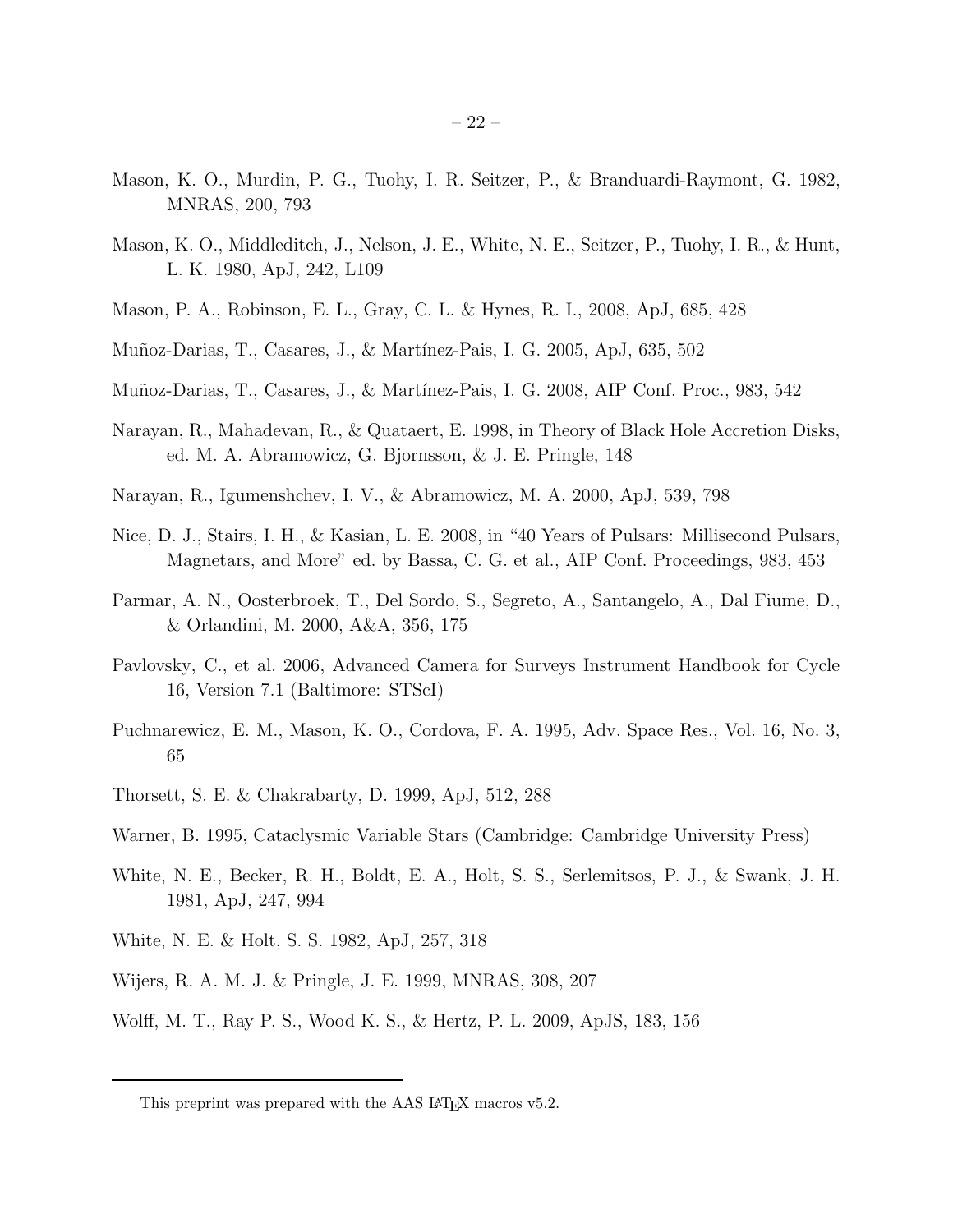- <span id="page-22-1"></span>Mason, K. O., Murdin, P. G., Tuohy, I. R. Seitzer, P., & Branduardi-Raymont, G. 1982, MNRAS, 200, 793
- <span id="page-22-0"></span>Mason, K. O., Middleditch, J., Nelson, J. E., White, N. E., Seitzer, P., Tuohy, I. R., & Hunt, L. K. 1980, ApJ, 242, L109
- <span id="page-22-13"></span>Mason, P. A., Robinson, E. L., Gray, C. L. & Hynes, R. I., 2008, ApJ, 685, 428
- <span id="page-22-15"></span>Mu˜noz-Darias, T., Casares, J., & Mart´ınez-Pais, I. G. 2005, ApJ, 635, 502
- <span id="page-22-14"></span>Muñoz-Darias, T., Casares, J., & Martínez-Pais, I. G. 2008, AIP Conf. Proc., 983, 542
- <span id="page-22-6"></span>Narayan, R., Mahadevan, R., & Quataert, E. 1998, in Theory of Black Hole Accretion Disks, ed. M. A. Abramowicz, G. Bjornsson, & J. E. Pringle, 148
- <span id="page-22-8"></span>Narayan, R., Igumenshchev, I. V., & Abramowicz, M. A. 2000, ApJ, 539, 798
- <span id="page-22-17"></span>Nice, D. J., Stairs, I. H., & Kasian, L. E. 2008, in "40 Years of Pulsars: Millisecond Pulsars, Magnetars, and More" ed. by Bassa, C. G. et al., AIP Conf. Proceedings, 983, 453
- <span id="page-22-4"></span>Parmar, A. N., Oosterbroek, T., Del Sordo, S., Segreto, A., Santangelo, A., Dal Fiume, D., & Orlandini, M. 2000, A&A, 356, 175
- <span id="page-22-9"></span>Pavlovsky, C., et al. 2006, Advanced Camera for Surveys Instrument Handbook for Cycle 16, Version 7.1 (Baltimore: STScI)
- <span id="page-22-5"></span>Puchnarewicz, E. M., Mason, K. O., Cordova, F. A. 1995, Adv. Space Res., Vol. 16, No. 3, 65
- <span id="page-22-16"></span>Thorsett, S. E. & Chakrabarty, D. 1999, ApJ, 512, 288
- <span id="page-22-11"></span>Warner, B. 1995, Cataclysmic Variable Stars (Cambridge: Cambridge University Press)
- <span id="page-22-2"></span>White, N. E., Becker, R. H., Boldt, E. A., Holt, S. S., Serlemitsos, P. J., & Swank, J. H. 1981, ApJ, 247, 994
- <span id="page-22-3"></span>White, N. E. & Holt, S. S. 1982, ApJ, 257, 318
- <span id="page-22-7"></span>Wijers, R. A. M. J. & Pringle, J. E. 1999, MNRAS, 308, 207
- <span id="page-22-10"></span>Wolff, M. T., Ray P. S., Wood K. S., & Hertz, P. L. 2009, ApJS, 183, 156

<span id="page-22-12"></span>This preprint was prepared with the AAS IATEX macros v5.2.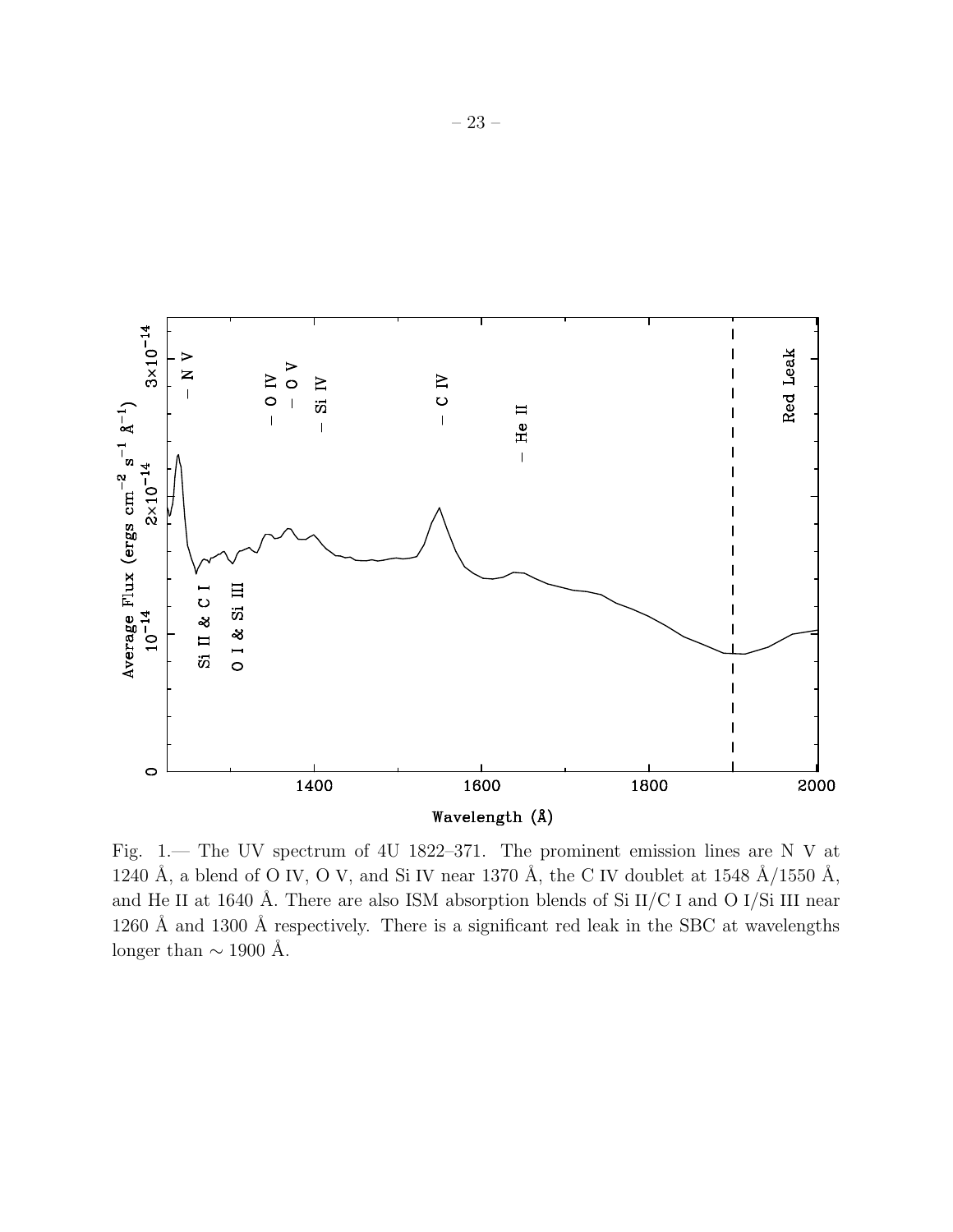

<span id="page-23-0"></span>Fig. 1.— The UV spectrum of 4U 1822–371. The prominent emission lines are N V at 1240 Å, a blend of O IV, O V, and Si IV near 1370 Å, the C IV doublet at 1548  $\AA/1550$  Å, and He II at 1640 Å. There are also ISM absorption blends of Si  $II/C I$  and O I/Si III near 1260 Å and 1300 Å respectively. There is a significant red leak in the SBC at wavelengths longer than  $\sim$  1900 Å.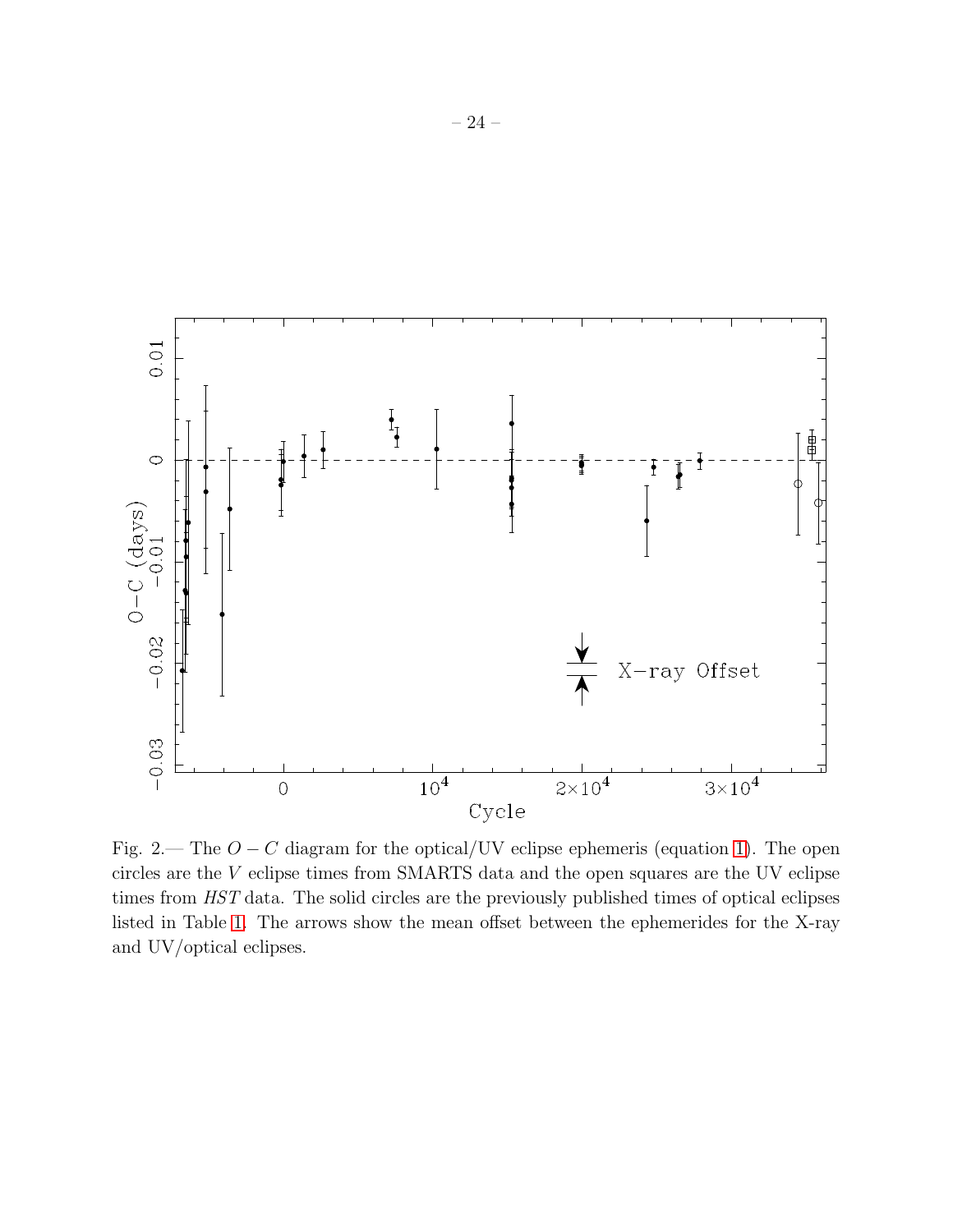

<span id="page-24-0"></span>Fig. 2.— The  $O - C$  diagram for the optical/UV eclipse ephemeris (equation [1\)](#page-6-0). The open circles are the V eclipse times from SMARTS data and the open squares are the UV eclipse times from HST data. The solid circles are the previously published times of optical eclipses listed in Table [1.](#page-35-0) The arrows show the mean offset between the ephemerides for the X-ray and UV/optical eclipses.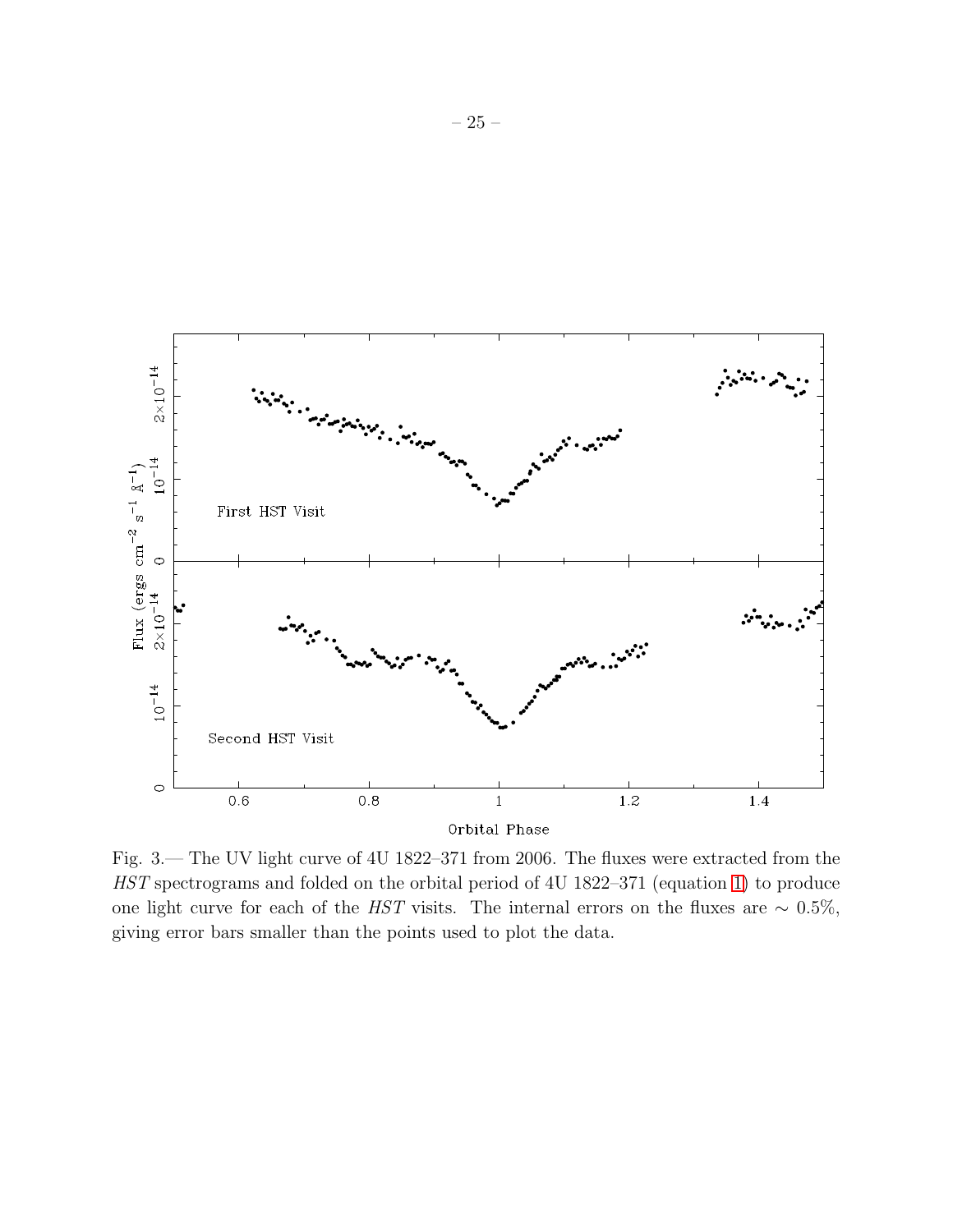

<span id="page-25-0"></span>Fig. 3.— The UV light curve of 4U 1822–371 from 2006. The fluxes were extracted from the HST spectrograms and folded on the orbital period of 4U 1822–371 (equation [1\)](#page-6-0) to produce one light curve for each of the HST visits. The internal errors on the fluxes are  $\sim 0.5\%,$ giving error bars smaller than the points used to plot the data.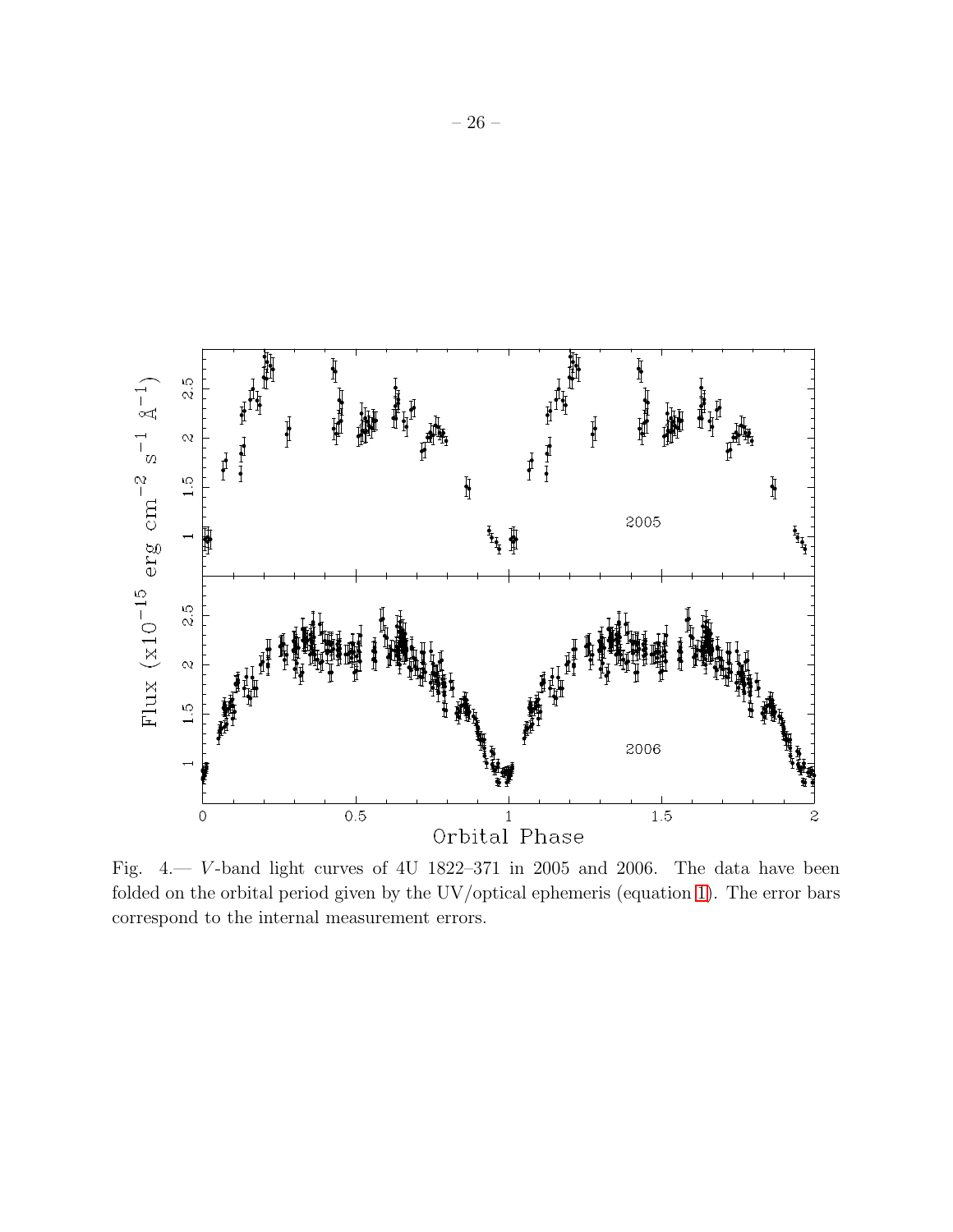

<span id="page-26-0"></span>Fig.  $4 - V$ -band light curves of 4U 1822–371 in 2005 and 2006. The data have been folded on the orbital period given by the UV/optical ephemeris (equation [1\)](#page-6-0). The error bars correspond to the internal measurement errors.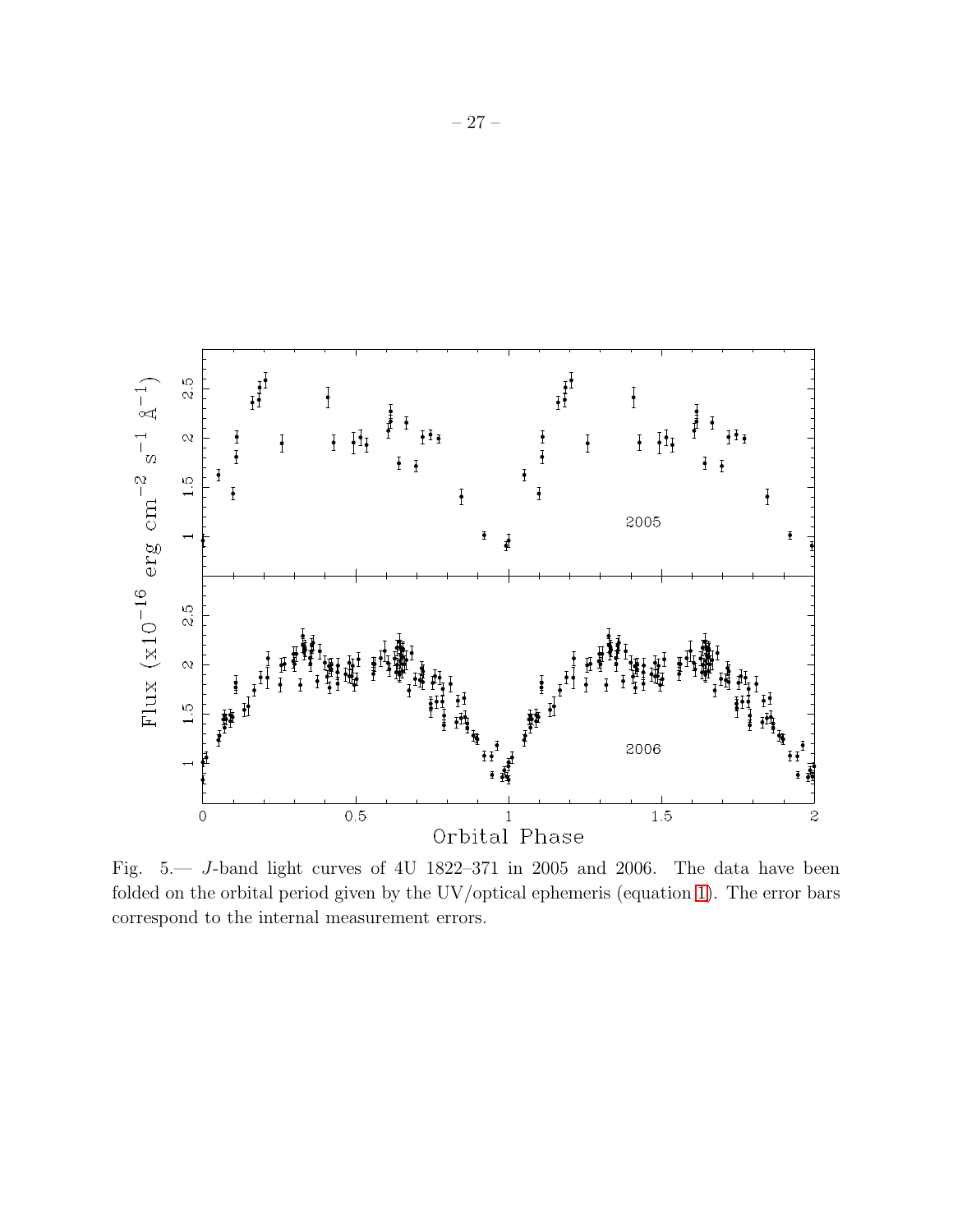

<span id="page-27-0"></span>Fig. 5.— J-band light curves of 4U 1822–371 in 2005 and 2006. The data have been folded on the orbital period given by the UV/optical ephemeris (equation [1\)](#page-6-0). The error bars correspond to the internal measurement errors.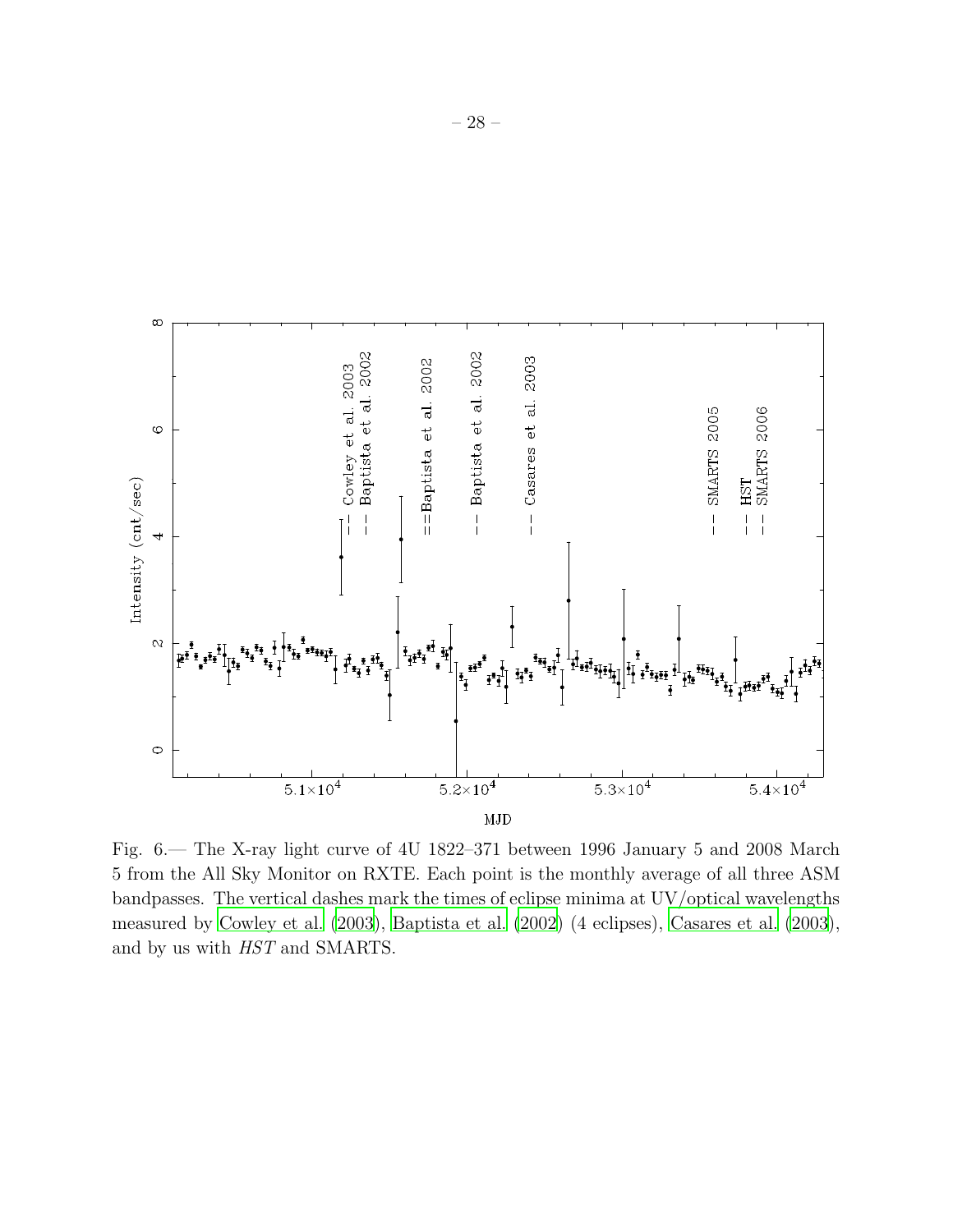

<span id="page-28-0"></span>Fig. 6.— The X-ray light curve of 4U 1822–371 between 1996 January 5 and 2008 March 5 from the All Sky Monitor on RXTE. Each point is the monthly average of all three ASM bandpasses. The vertical dashes mark the times of eclipse minima at UV/optical wavelengths measured by [Cowley et al. \(2003](#page-20-2)), [Baptista et al. \(2002\)](#page-20-4) (4 eclipses), [Casares et al. \(2003](#page-20-3)), and by us with HST and SMARTS.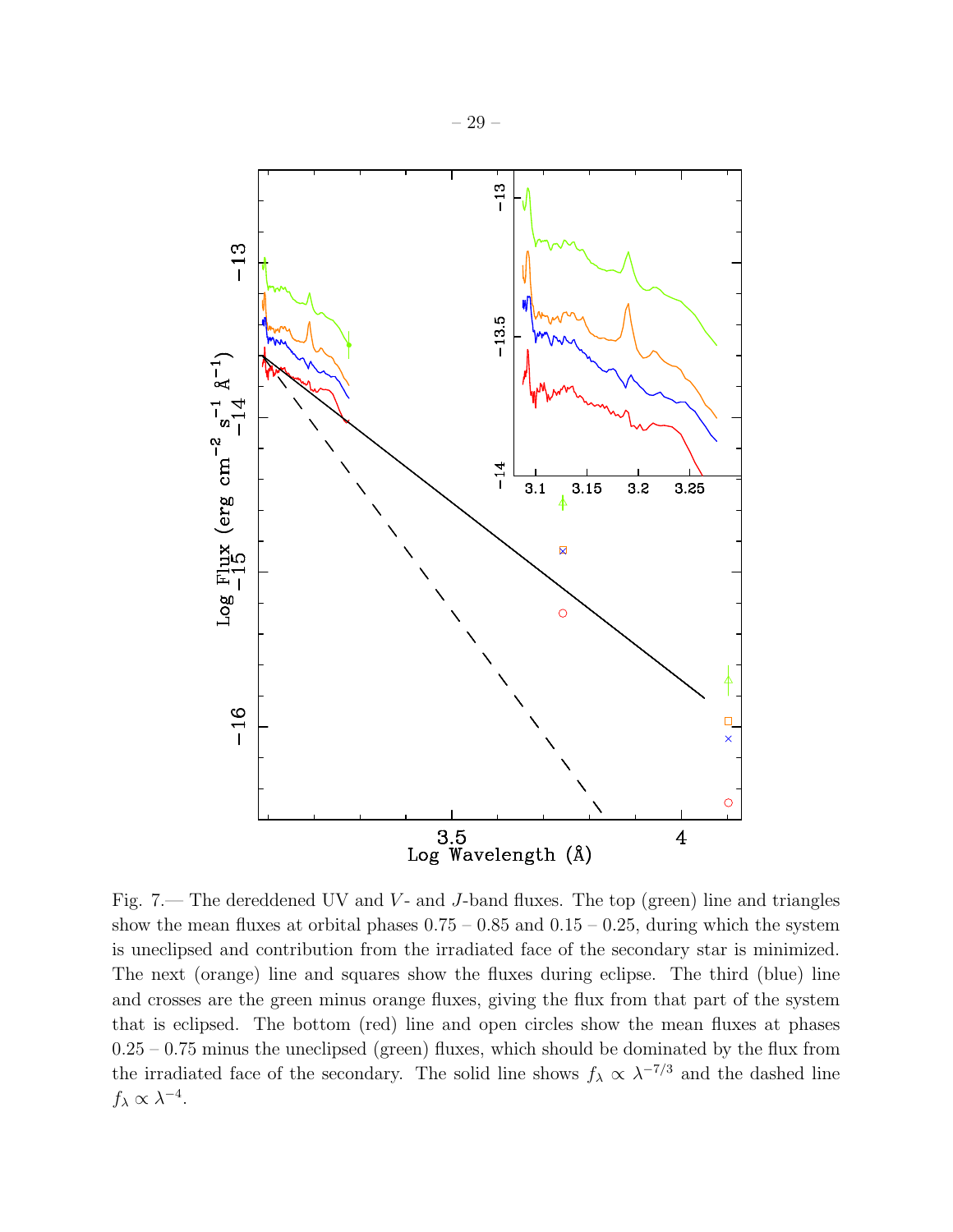

 $-13$ 

 $Log$  Flux (erg cm<sup>-2</sup> s<sup>-1</sup>  $A^{-1}$ )<br>-15

 $-16$ 

<span id="page-29-0"></span>Fig. 7.— The dereddened UV and  $V$ - and J-band fluxes. The top (green) line and triangles show the mean fluxes at orbital phases  $0.75 - 0.85$  and  $0.15 - 0.25$ , during which the system is uneclipsed and contribution from the irradiated face of the secondary star is minimized. The next (orange) line and squares show the fluxes during eclipse. The third (blue) line and crosses are the green minus orange fluxes, giving the flux from that part of the system that is eclipsed. The bottom (red) line and open circles show the mean fluxes at phases  $0.25 - 0.75$  minus the uneclipsed (green) fluxes, which should be dominated by the flux from the irradiated face of the secondary. The solid line shows  $f_{\lambda} \propto \lambda^{-7/3}$  and the dashed line  $f_{\lambda} \propto \lambda^{-4}.$ 

Log Wavelength (Å)

 $3.5$ 

Ċ

 $\overline{\mathbf{4}}$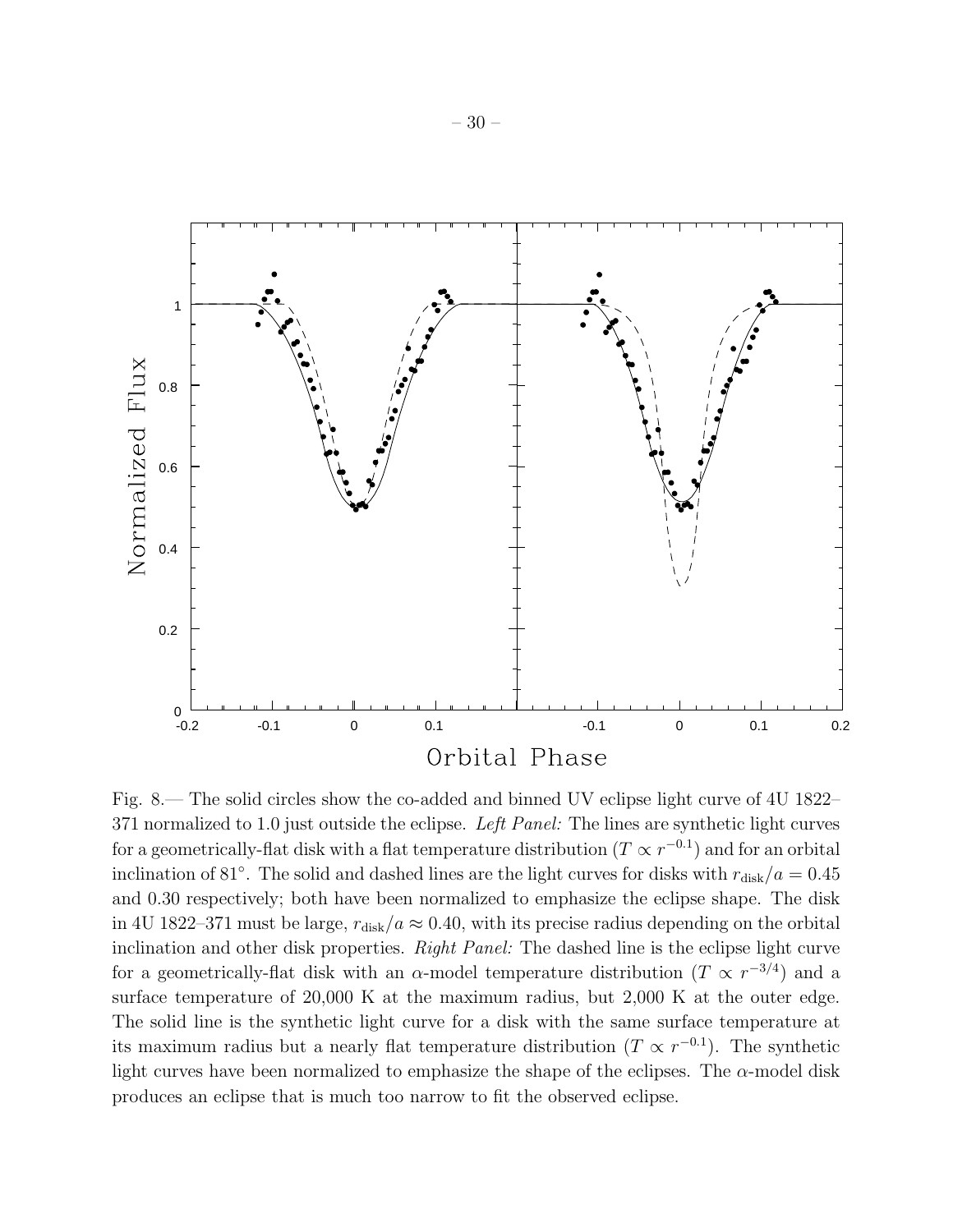

<span id="page-30-0"></span>Fig. 8.— The solid circles show the co-added and binned UV eclipse light curve of 4U 1822– 371 normalized to 1.0 just outside the eclipse. Left Panel: The lines are synthetic light curves for a geometrically-flat disk with a flat temperature distribution  $(T \propto r^{-0.1})$  and for an orbital inclination of 81°. The solid and dashed lines are the light curves for disks with  $r_{\text{disk}}/a = 0.45$ and 0.30 respectively; both have been normalized to emphasize the eclipse shape. The disk in 4U 1822–371 must be large,  $r_{disk}/a \approx 0.40$ , with its precise radius depending on the orbital inclination and other disk properties. Right Panel: The dashed line is the eclipse light curve for a geometrically-flat disk with an  $\alpha$ -model temperature distribution  $(T \propto r^{-3/4})$  and a surface temperature of 20,000 K at the maximum radius, but 2,000 K at the outer edge. The solid line is the synthetic light curve for a disk with the same surface temperature at its maximum radius but a nearly flat temperature distribution  $(T \propto r^{-0.1})$ . The synthetic light curves have been normalized to emphasize the shape of the eclipses. The  $\alpha$ -model disk produces an eclipse that is much too narrow to fit the observed eclipse.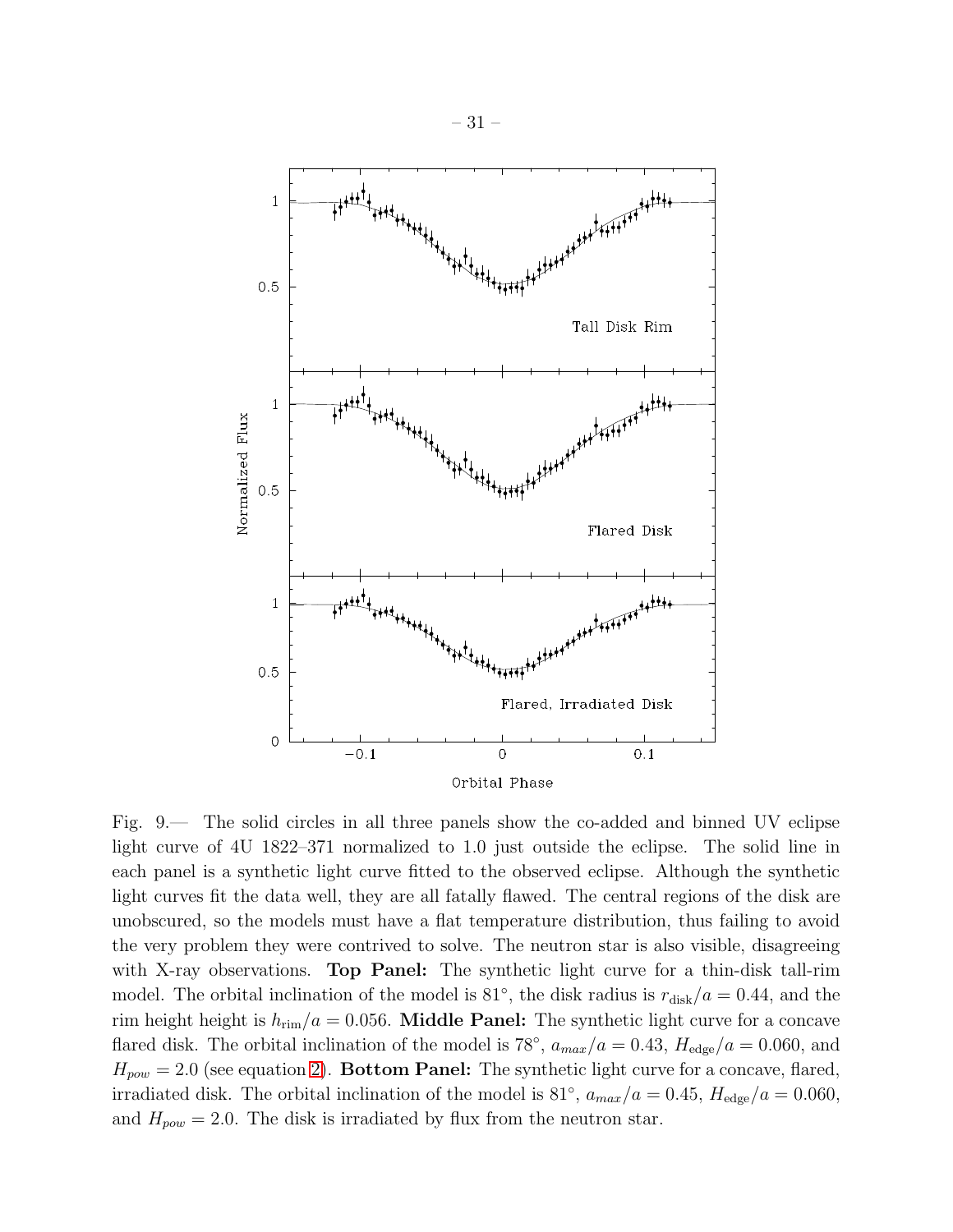

<span id="page-31-0"></span>Fig. 9.— The solid circles in all three panels show the co-added and binned UV eclipse light curve of 4U 1822–371 normalized to 1.0 just outside the eclipse. The solid line in each panel is a synthetic light curve fitted to the observed eclipse. Although the synthetic light curves fit the data well, they are all fatally flawed. The central regions of the disk are unobscured, so the models must have a flat temperature distribution, thus failing to avoid the very problem they were contrived to solve. The neutron star is also visible, disagreeing with X-ray observations. **Top Panel:** The synthetic light curve for a thin-disk tall-rim model. The orbital inclination of the model is 81<sup>°</sup>, the disk radius is  $r_{\text{disk}}/a = 0.44$ , and the rim height height is  $h_{\text{rim}}/a = 0.056$ . **Middle Panel:** The synthetic light curve for a concave flared disk. The orbital inclination of the model is 78<sup>°</sup>,  $a_{max}/a = 0.43$ ,  $H_{edge}/a = 0.060$ , and  $H_{pow} = 2.0$  (see equation [2\)](#page-14-0). **Bottom Panel:** The synthetic light curve for a concave, flared, irradiated disk. The orbital inclination of the model is 81<sup>°</sup>,  $a_{max}/a = 0.45$ ,  $H_{edge}/a = 0.060$ , and  $H_{pow} = 2.0$ . The disk is irradiated by flux from the neutron star.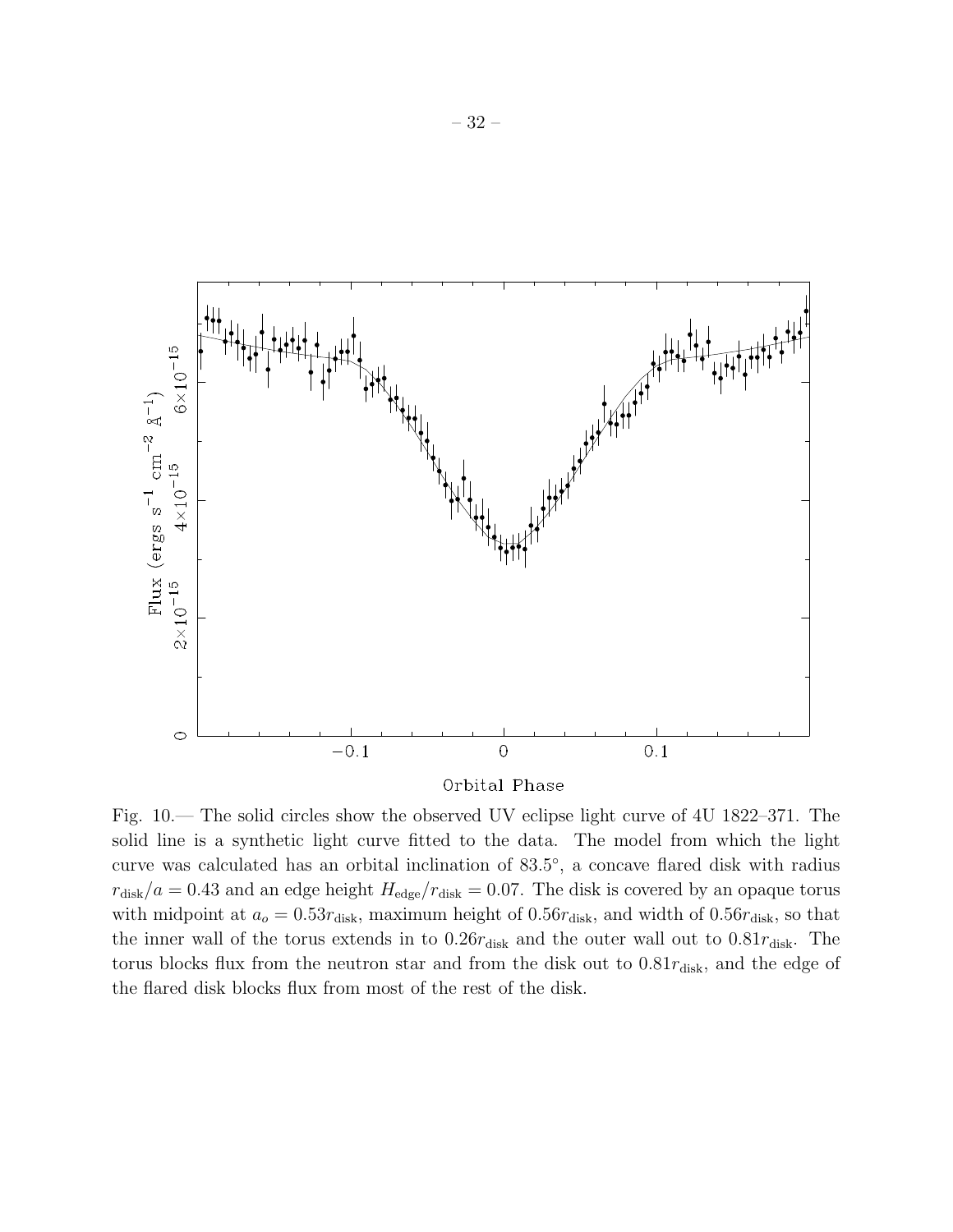

Orbital Phase

<span id="page-32-0"></span>Fig. 10.— The solid circles show the observed UV eclipse light curve of 4U 1822–371. The solid line is a synthetic light curve fitted to the data. The model from which the light curve was calculated has an orbital inclination of  $83.5^{\circ}$ , a concave flared disk with radius  $r_{\text{disk}}/a = 0.43$  and an edge height  $H_{\text{edge}}/r_{\text{disk}} = 0.07$ . The disk is covered by an opaque torus with midpoint at  $a_0 = 0.53r_{disk}$ , maximum height of  $0.56r_{disk}$ , and width of  $0.56r_{disk}$ , so that the inner wall of the torus extends in to  $0.26r_{\rm disk}$  and the outer wall out to  $0.81r_{\rm disk}$ . The torus blocks flux from the neutron star and from the disk out to  $0.81r_{\rm disk}$ , and the edge of the flared disk blocks flux from most of the rest of the disk.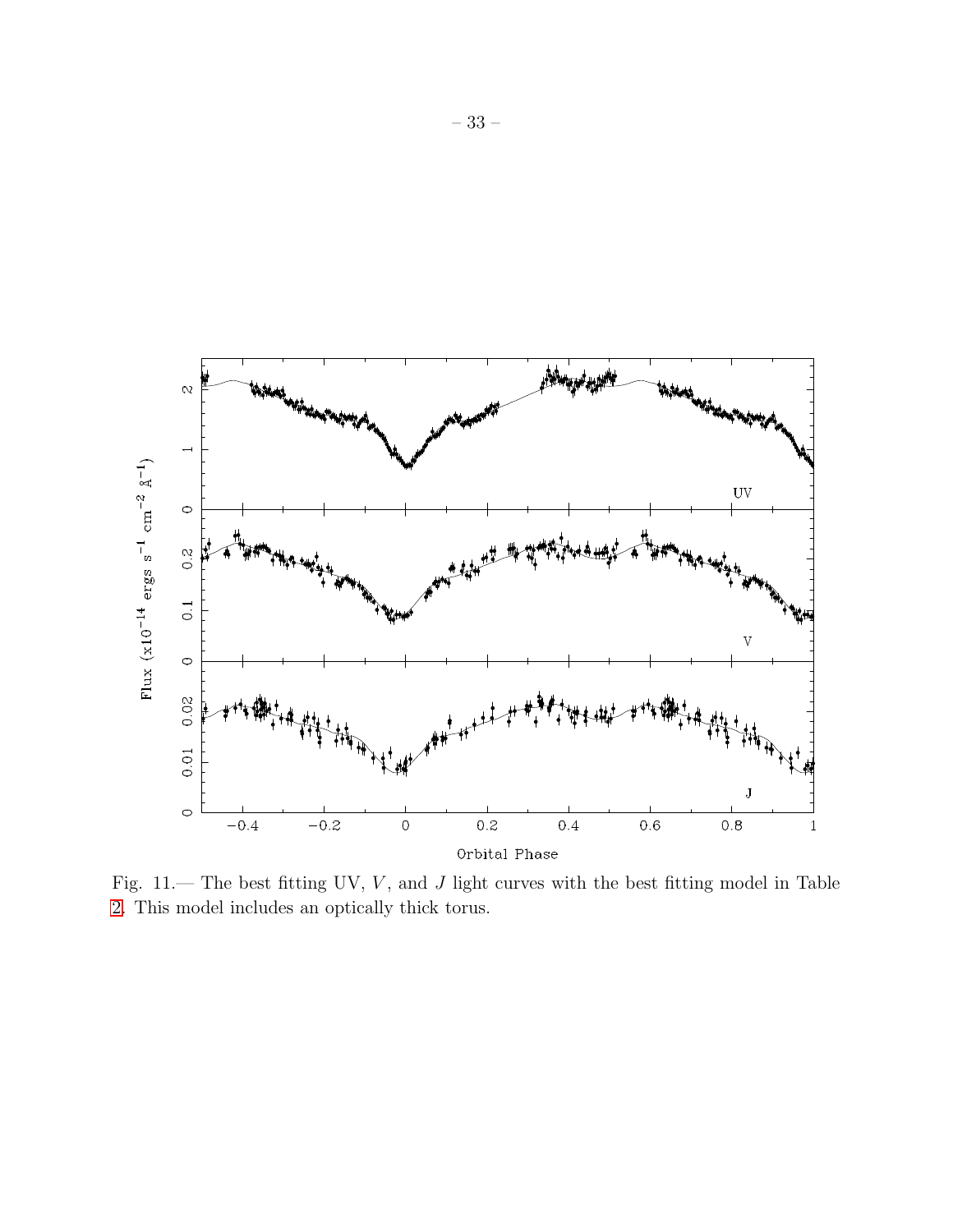

<span id="page-33-0"></span>Fig.  $11$ .— The best fitting UV,  $V$ , and  $J$  light curves with the best fitting model in Table [2.](#page-36-0) This model includes an optically thick torus.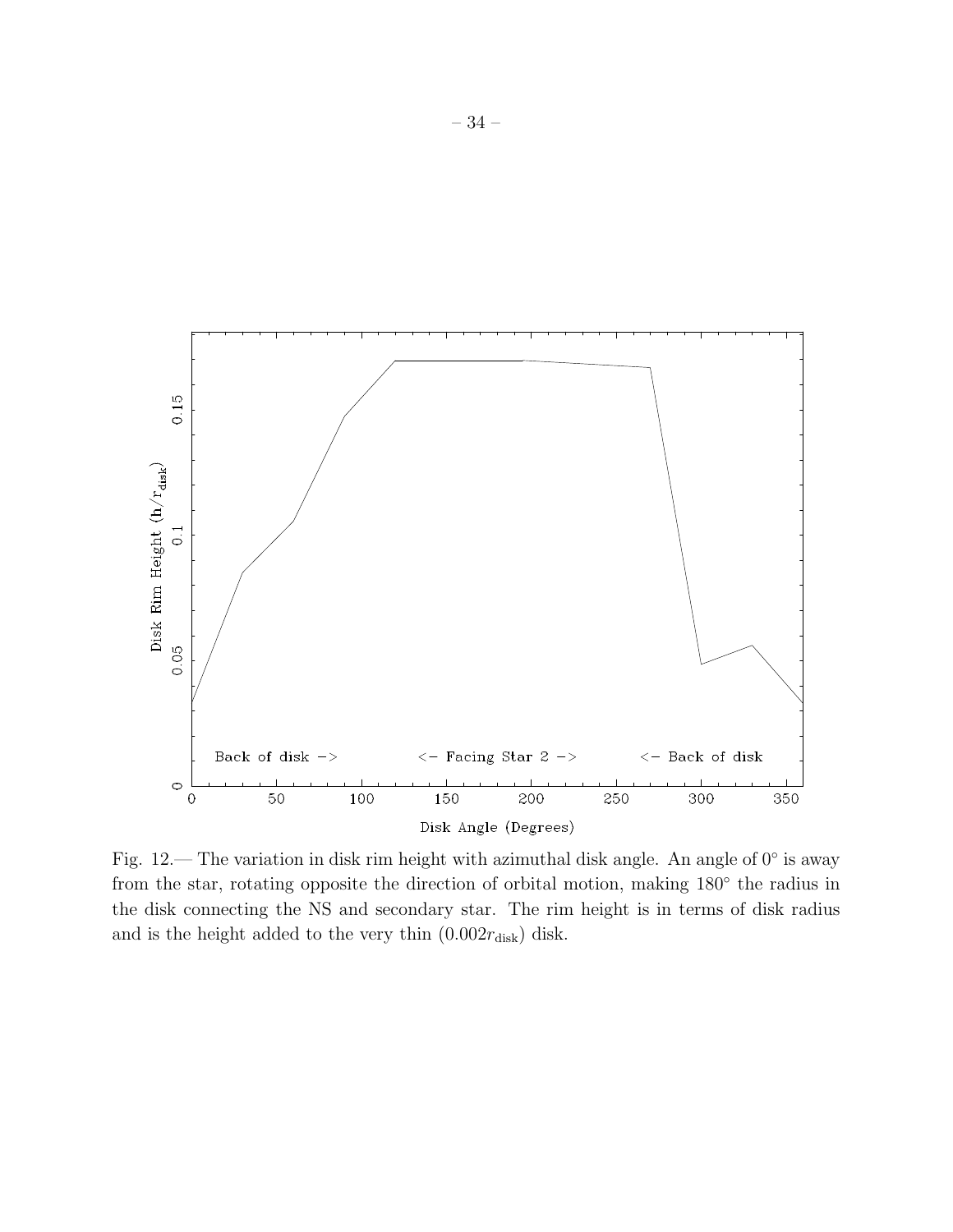

<span id="page-34-0"></span>Fig. 12.— The variation in disk rim height with azimuthal disk angle. An angle of  $0°$  is away from the star, rotating opposite the direction of orbital motion, making  $180^{\circ}$  the radius in the disk connecting the NS and secondary star. The rim height is in terms of disk radius and is the height added to the very thin  $(0.002r_{\text{disk}})$  disk.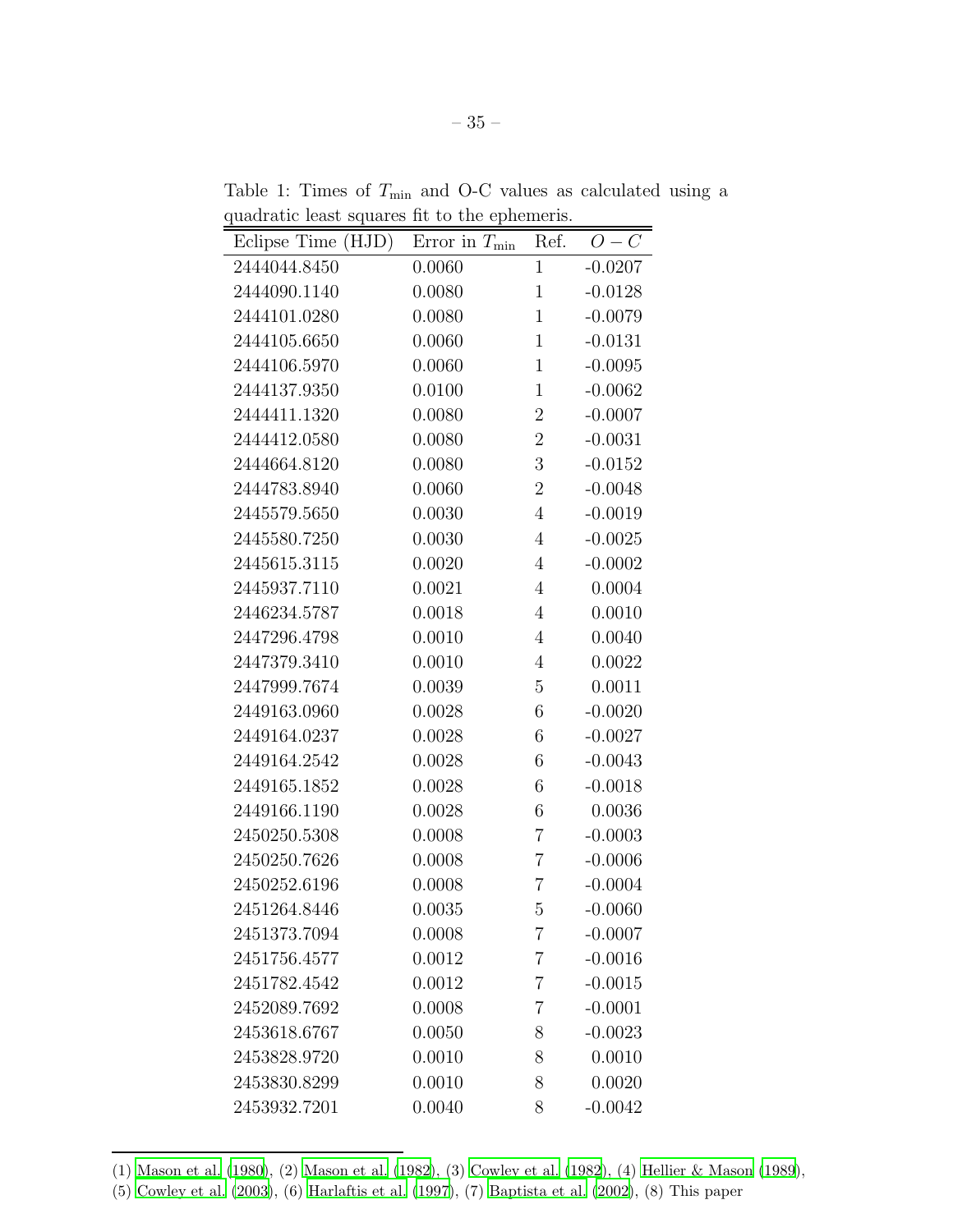<span id="page-35-0"></span>

| quadratic reast squares in to the ephemeris. |                     |                |                       |  |
|----------------------------------------------|---------------------|----------------|-----------------------|--|
| Eclipse Time (HJD)                           | Error in $T_{\min}$ | Ref.           | ${\cal O} - {\cal C}$ |  |
| 2444044.8450                                 | 0.0060              | $\mathbf{1}$   | $-0.0207$             |  |
| 2444090.1140                                 | 0.0080              | $\mathbf{1}$   | $-0.0128$             |  |
| 2444101.0280                                 | 0.0080              | $\mathbf{1}$   | $-0.0079$             |  |
| 2444105.6650                                 | 0.0060              | $\mathbf{1}$   | $-0.0131$             |  |
| 2444106.5970                                 | 0.0060              | $\mathbf{1}$   | $-0.0095$             |  |
| 2444137.9350                                 | 0.0100              | $\mathbf{1}$   | $-0.0062$             |  |
| 2444411.1320                                 | 0.0080              | $\overline{2}$ | $-0.0007$             |  |
| 2444412.0580                                 | 0.0080              | $\overline{2}$ | $-0.0031$             |  |
| 2444664.8120                                 | 0.0080              | 3              | $-0.0152$             |  |
| 2444783.8940                                 | 0.0060              | $\overline{2}$ | $-0.0048$             |  |
| 2445579.5650                                 | 0.0030              | $\overline{4}$ | $-0.0019$             |  |
| 2445580.7250                                 | 0.0030              | $\overline{4}$ | $-0.0025$             |  |
| 2445615.3115                                 | 0.0020              | 4              | $-0.0002$             |  |
| 2445937.7110                                 | 0.0021              | $\overline{4}$ | 0.0004                |  |
| 2446234.5787                                 | 0.0018              | 4              | 0.0010                |  |
| 2447296.4798                                 | 0.0010              | $\overline{4}$ | 0.0040                |  |
| 2447379.3410                                 | 0.0010              | $\overline{4}$ | 0.0022                |  |
| 2447999.7674                                 | 0.0039              | 5              | 0.0011                |  |
| 2449163.0960                                 | 0.0028              | 6              | $-0.0020$             |  |
| 2449164.0237                                 | 0.0028              | 6              | $-0.0027$             |  |
| 2449164.2542                                 | 0.0028              | 6              | $-0.0043$             |  |
| 2449165.1852                                 | 0.0028              | 6              | $-0.0018$             |  |
| 2449166.1190                                 | 0.0028              | 6              | 0.0036                |  |
| 2450250.5308                                 | 0.0008              | $\overline{7}$ | $-0.0003$             |  |
| 2450250.7626                                 | 0.0008              | $\overline{7}$ | $-0.0006$             |  |
| 2450252.6196                                 | 0.0008              | $\overline{7}$ | $-0.0004$             |  |
| 2451264.8446                                 | 0.0035              | 5              | $-0.0060$             |  |
| 2451373.7094                                 | 0.0008              | 7              | $-0.0007$             |  |
| 2451756.4577                                 | 0.0012              | $\overline{7}$ | $-0.0016$             |  |
| 2451782.4542                                 | 0.0012              | 7              | $-0.0015$             |  |
| 2452089.7692                                 | 0.0008              | 7              | $-0.0001$             |  |
| 2453618.6767                                 | 0.0050              | 8              | $-0.0023$             |  |
| 2453828.9720                                 | 0.0010              | 8              | 0.0010                |  |
| 2453830.8299                                 | 0.0010              | 8              | 0.0020                |  |
| 2453932.7201                                 | 0.0040              | 8              | $-0.0042$             |  |

Table 1: Times of  $T_{\min}$  and O-C values as calculated using a quadratic least squares fit to the ephemeris.

<sup>(1)</sup> [Mason et al. \(1980](#page-22-0)), (2) [Mason et al. \(1982\)](#page-22-1), (3) [Cowley et al. \(1982\)](#page-20-1), (4) [Hellier & Mason \(1989](#page-21-6)),

<sup>(5)</sup> [Cowley et al. \(2003](#page-20-2)), (6) [Harlaftis et al. \(1997\)](#page-21-2), (7) [Baptista et al. \(2002](#page-20-4)), (8) This paper